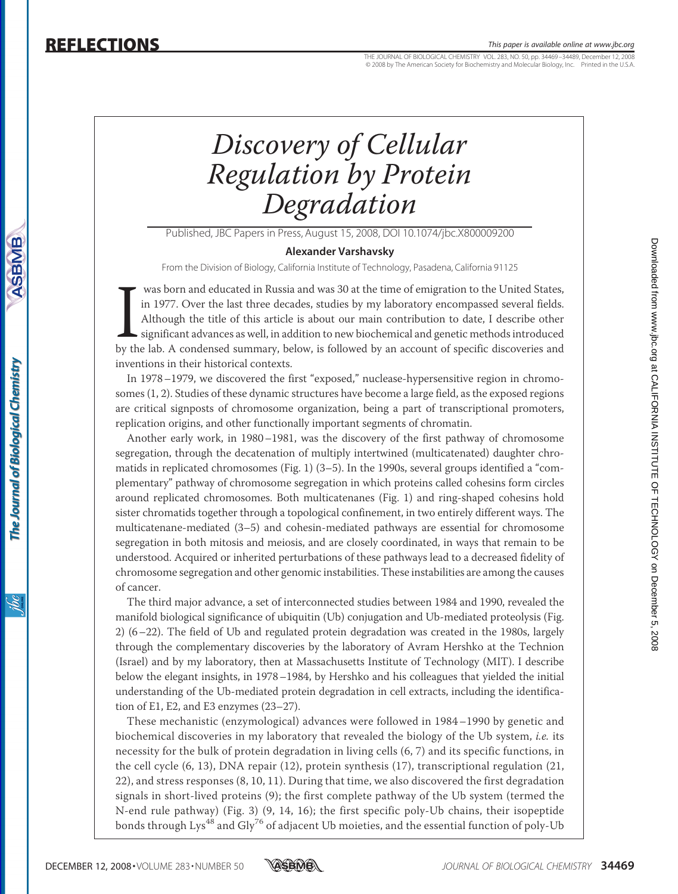THE JOURNAL OF BIOLOGICAL CHEMISTRY VOL. 283, NO. 50, pp. 34469 –34489, December 12, 2008 © 2008 by The American Society for Biochemistry and Molecular Biology, Inc. Printed in the U.S.A.

# *Discovery of Cellular Regulation by Protein Degradation*

Published, JBC Papers in Press, August 15, 2008, DOI 10.1074/jbc.X800009200

#### **Alexander Varshavsky**

From the Division of Biology, California Institute of Technology, Pasadena, California 91125

It was born and educated in Russia and was 30 at the time of emigration to the United States, in 1977. Over the last three decades, studies by my laboratory encompassed several fields. Although the title of this article is was born and educated in Russia and was 30 at the time of emigration to the United States, in 1977. Over the last three decades, studies by my laboratory encompassed several fields. Although the title of this article is about our main contribution to date, I describe other significant advances as well, in addition to new biochemical and genetic methods introduced inventions in their historical contexts.

In 1978–1979, we discovered the first "exposed," nuclease-hypersensitive region in chromosomes (1, 2). Studies of these dynamic structures have become a large field, as the exposed regions are critical signposts of chromosome organization, being a part of transcriptional promoters, replication origins, and other functionally important segments of chromatin.

Another early work, in 1980–1981, was the discovery of the first pathway of chromosome segregation, through the decatenation of multiply intertwined (multicatenated) daughter chromatids in replicated chromosomes (Fig. 1) (3–5). In the 1990s, several groups identified a "complementary" pathway of chromosome segregation in which proteins called cohesins form circles around replicated chromosomes. Both multicatenanes (Fig. 1) and ring-shaped cohesins hold sister chromatids together through a topological confinement, in two entirely different ways. The multicatenane-mediated (3–5) and cohesin-mediated pathways are essential for chromosome segregation in both mitosis and meiosis, and are closely coordinated, in ways that remain to be understood. Acquired or inherited perturbations of these pathways lead to a decreased fidelity of chromosome segregation and other genomic instabilities. These instabilities are among the causes of cancer.

The third major advance, a set of interconnected studies between 1984 and 1990, revealed the manifold biological significance of ubiquitin (Ub) conjugation and Ub-mediated proteolysis (Fig. 2) (6–22). The field of Ub and regulated protein degradation was created in the 1980s, largely through the complementary discoveries by the laboratory of Avram Hershko at the Technion (Israel) and by my laboratory, then at Massachusetts Institute of Technology (MIT). I describe below the elegant insights, in 1978–1984, by Hershko and his colleagues that yielded the initial understanding of the Ub-mediated protein degradation in cell extracts, including the identification of E1, E2, and E3 enzymes (23–27).

These mechanistic (enzymological) advances were followed in 1984–1990 by genetic and biochemical discoveries in my laboratory that revealed the biology of the Ub system, *i.e.* its necessity for the bulk of protein degradation in living cells (6, 7) and its specific functions, in the cell cycle (6, 13), DNA repair (12), protein synthesis (17), transcriptional regulation (21, 22), and stress responses (8, 10, 11). During that time, we also discovered the first degradation signals in short-lived proteins (9); the first complete pathway of the Ub system (termed the N-end rule pathway) (Fig. 3) (9, 14, 16); the first specific poly-Ub chains, their isopeptide bonds through Lys<sup>48</sup> and Gly<sup>76</sup> of adjacent Ub moieties, and the essential function of poly-Ub

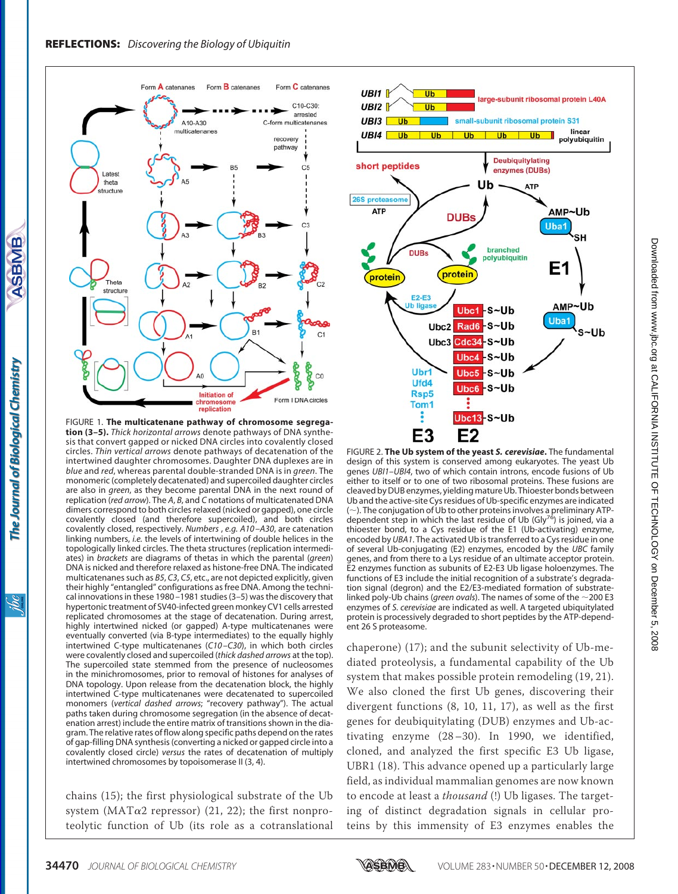

FIGURE 1. **The multicatenane pathway of chromosome segregation (3–5).** *Thick horizontal arrows* denote pathways of DNA synthesis that convert gapped or nicked DNA circles into covalently closed circles. *Thin vertical arrows* denote pathways of decatenation of the intertwined daughter chromosomes. Daughter DNA duplexes are in *blue* and *red*, whereas parental double-stranded DNA is in *green*. The monomeric (completely decatenated) and supercoiled daughter circles are also in *green*, as they become parental DNA in the next round of replication (*red arrow*). The *A*, *B*, and *C* notations of multicatenated DNA dimers correspond to both circles relaxed (nicked or gapped), one circle covalently closed (and therefore supercoiled), and both circles covalently closed, respectively. *Numbers* , *e.g. A10 –A30*, are catenation linking numbers, *i.e.* the levels of intertwining of double helices in the topologically linked circles. The theta structures (replication intermediates) in *brackets* are diagrams of thetas in which the parental (*green*) DNA is nicked and therefore relaxed as histone-free DNA. The indicated multicatenanes such as *B5*, *C3*, *C5*, etc., are not depicted explicitly, given their highly "entangled" configurations as free DNA. Among the technical innovations in these 1980 –1981 studies (3–5) was the discovery that hypertonic treatment of SV40-infected green monkey CV1 cells arrested replicated chromosomes at the stage of decatenation. During arrest, highly intertwined nicked (or gapped) A-type multicatenanes were eventually converted (via B-type intermediates) to the equally highly intertwined C-type multicatenanes (*C10 –C30*), in which both circles were covalently closed and supercoiled (*thick dashed arrows* at the top). The supercoiled state stemmed from the presence of nucleosomes in the minichromosomes, prior to removal of histones for analyses of DNA topology. Upon release from the decatenation block, the highly intertwined C-type multicatenanes were decatenated to supercoiled monomers (*vertical dashed arrows*; "recovery pathway"). The actual paths taken during chromosome segregation (in the absence of decatenation arrest) include the entire matrix of transitions shown in the diagram. The relative rates of flow along specific paths depend on the rates of gap-filling DNA synthesis (converting a nicked or gapped circle into a covalently closed circle) *versus* the rates of decatenation of multiply intertwined chromosomes by topoisomerase II (3, 4).

chains (15); the first physiological substrate of the Ub system (MAT $\alpha$ 2 repressor) (21, 22); the first nonproteolytic function of Ub (its role as a cotranslational



FIGURE 2. **The Ub system of the yeast** *S. cerevisiae***.** The fundamental design of this system is conserved among eukaryotes. The yeast Ub genes *UBI1–UBI4*, two of which contain introns, encode fusions of Ub either to itself or to one of two ribosomal proteins. These fusions are cleaved by DUB enzymes, yielding mature Ub. Thioester bonds between Ub and the active-site Cys residues of Ub-specific enzymes are indicated  $(\sim)$ . The conjugation of Ub to other proteins involves a preliminary ATPdependent step in which the last residue of Ub (Gly<sup>76</sup>) is joined, via a thioester bond, to a Cys residue of the E1 (Ub-activating) enzyme, encoded by*UBA1*. The activated Ub is transferred to a Cys residue in one of several Ub-conjugating (E2) enzymes, encoded by the *UBC* family genes, and from there to a Lys residue of an ultimate acceptor protein. E2 enzymes function as subunits of E2-E3 Ub ligase holoenzymes. The functions of E3 include the initial recognition of a substrate's degradation signal (degron) and the E2/E3-mediated formation of substratelinked poly-Ub chains (*green ovals*). The names of some of the  $\sim$ 200 E3 enzymes of *S. cerevisiae* are indicated as well. A targeted ubiquitylated protein is processively degraded to short peptides by the ATP-dependent 26 S proteasome.

chaperone) (17); and the subunit selectivity of Ub-mediated proteolysis, a fundamental capability of the Ub system that makes possible protein remodeling (19, 21). We also cloned the first Ub genes, discovering their divergent functions (8, 10, 11, 17), as well as the first genes for deubiquitylating (DUB) enzymes and Ub-activating enzyme (28–30). In 1990, we identified, cloned, and analyzed the first specific E3 Ub ligase, UBR1 (18). This advance opened up a particularly large field, as individual mammalian genomes are now known to encode at least a *thousand* (!) Ub ligases. The targeting of distinct degradation signals in cellular proteins by this immensity of E3 enzymes enables the

 $\mathscr{L}$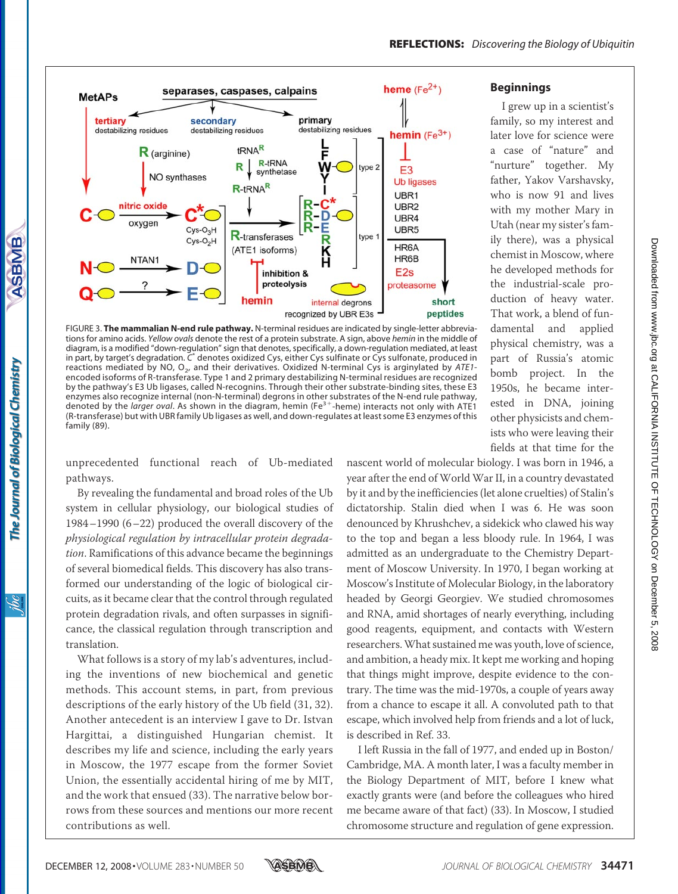

FIGURE 3. **The mammalian N-end rule pathway.** N-terminal residues are indicated by single-letter abbreviations for amino acids. *Yellow ovals* denote the rest of a protein substrate. A sign, above *hemin* in the middle of diagram, is a modified "down-regulation" sign that denotes, specifically, a down-regulation mediated, at least in part, by target's degradation. *C*\* denotes oxidized Cys, either Cys sulfinate or Cys sulfonate, produced in reactions mediated by NO, O<sub>2</sub>, and their derivatives. Oxidized N-terminal Cys is arginylated by ATE1encoded isoforms of R-transferase. Type 1 and 2 primary destabilizing N-terminal residues are recognized by the pathway's E3 Ub ligases, called N-recognins. Through their other substrate-binding sites, these E3 enzymes also recognize internal (non-N-terminal) degrons in other substrates of the N-end rule pathway, denoted by the *larger oval*. As shown in the diagram, hemin (Fe<sup>3+</sup>-heme) interacts not only with ATE1 (R-transferase) but with UBR family Ub ligases as well, and down-regulates at least some E3 enzymes of this family (89).

unprecedented functional reach of Ub-mediated pathways.

By revealing the fundamental and broad roles of the Ub system in cellular physiology, our biological studies of 1984–1990 (6–22) produced the overall discovery of the *physiological regulation by intracellular protein degradation*. Ramifications of this advance became the beginnings of several biomedical fields. This discovery has also transformed our understanding of the logic of biological circuits, as it became clear that the control through regulated protein degradation rivals, and often surpasses in significance, the classical regulation through transcription and translation.

What follows is a story of my lab's adventures, including the inventions of new biochemical and genetic methods. This account stems, in part, from previous descriptions of the early history of the Ub field (31, 32). Another antecedent is an interview I gave to Dr. Istvan Hargittai, a distinguished Hungarian chemist. It describes my life and science, including the early years in Moscow, the 1977 escape from the former Soviet Union, the essentially accidental hiring of me by MIT, and the work that ensued (33). The narrative below borrows from these sources and mentions our more recent contributions as well.

# nascent world of molecular biology. I was born in 1946, a year after the end of World War II, in a country devastated by it and by the inefficiencies (let alone cruelties) of Stalin's dictatorship. Stalin died when I was 6. He was soon denounced by Khrushchev, a sidekick who clawed his way to the top and began a less bloody rule. In 1964, I was admitted as an undergraduate to the Chemistry Department of Moscow University. In 1970, I began working at Moscow's Institute of Molecular Biology, in the laboratory headed by Georgi Georgiev. We studied chromosomes and RNA, amid shortages of nearly everything, including good reagents, equipment, and contacts with Western researchers.What sustained me was youth, love of science, and ambition, a heady mix. It kept me working and hoping that things might improve, despite evidence to the contrary. The time was the mid-1970s, a couple of years away from a chance to escape it all. A convoluted path to that escape, which involved help from friends and a lot of luck, is described in Ref. 33.

I left Russia in the fall of 1977, and ended up in Boston/ Cambridge, MA. A month later, I was a faculty member in the Biology Department of MIT, before I knew what exactly grants were (and before the colleagues who hired me became aware of that fact) (33). In Moscow, I studied chromosome structure and regulation of gene expression.

# **Beginnings**

I grew up in a scientist's family, so my interest and later love for science were a case of "nature" and "nurture" together. My father, Yakov Varshavsky, who is now 91 and lives with my mother Mary in Utah (near my sister's family there), was a physical chemist in Moscow, where he developed methods for the industrial-scale production of heavy water. That work, a blend of fundamental and applied physical chemistry, was a part of Russia's atomic bomb project. In the 1950s, he became interested in DNA, joining other physicists and chemists who were leaving their fields at that time for the

**SBMB** 

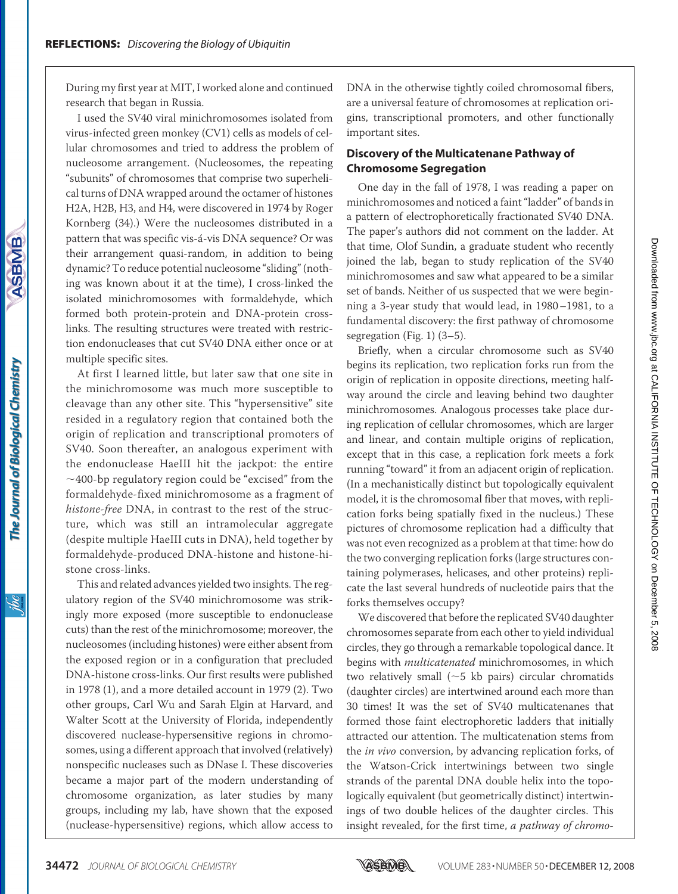During my first year at MIT, I worked alone and continued research that began in Russia.

I used the SV40 viral minichromosomes isolated from virus-infected green monkey (CV1) cells as models of cellular chromosomes and tried to address the problem of nucleosome arrangement. (Nucleosomes, the repeating "subunits" of chromosomes that comprise two superhelical turns of DNA wrapped around the octamer of histones H2A, H2B, H3, and H4, were discovered in 1974 by Roger Kornberg (34).) Were the nucleosomes distributed in a pattern that was specific vis-á-vis DNA sequence? Or was their arrangement quasi-random, in addition to being dynamic? To reduce potential nucleosome "sliding" (nothing was known about it at the time), I cross-linked the isolated minichromosomes with formaldehyde, which formed both protein-protein and DNA-protein crosslinks. The resulting structures were treated with restriction endonucleases that cut SV40 DNA either once or at multiple specific sites.

ASBMB

The Journal of Biological Chemistry

At first I learned little, but later saw that one site in the minichromosome was much more susceptible to cleavage than any other site. This "hypersensitive" site resided in a regulatory region that contained both the origin of replication and transcriptional promoters of SV40. Soon thereafter, an analogous experiment with the endonuclease HaeIII hit the jackpot: the entire  $\sim$ 400-bp regulatory region could be "excised" from the formaldehyde-fixed minichromosome as a fragment of *histone-free* DNA, in contrast to the rest of the structure, which was still an intramolecular aggregate (despite multiple HaeIII cuts in DNA), held together by formaldehyde-produced DNA-histone and histone-histone cross-links.

This and related advances yielded two insights. The regulatory region of the SV40 minichromosome was strikingly more exposed (more susceptible to endonuclease cuts) than the rest of the minichromosome; moreover, the nucleosomes (including histones) were either absent from the exposed region or in a configuration that precluded DNA-histone cross-links. Our first results were published in 1978 (1), and a more detailed account in 1979 (2). Two other groups, Carl Wu and Sarah Elgin at Harvard, and Walter Scott at the University of Florida, independently discovered nuclease-hypersensitive regions in chromosomes, using a different approach that involved (relatively) nonspecific nucleases such as DNase I. These discoveries became a major part of the modern understanding of chromosome organization, as later studies by many groups, including my lab, have shown that the exposed (nuclease-hypersensitive) regions, which allow access to

DNA in the otherwise tightly coiled chromosomal fibers, are a universal feature of chromosomes at replication origins, transcriptional promoters, and other functionally important sites.

# **Discovery of the Multicatenane Pathway of Chromosome Segregation**

One day in the fall of 1978, I was reading a paper on minichromosomes and noticed a faint "ladder" of bands in a pattern of electrophoretically fractionated SV40 DNA. The paper's authors did not comment on the ladder. At that time, Olof Sundin, a graduate student who recently joined the lab, began to study replication of the SV40 minichromosomes and saw what appeared to be a similar set of bands. Neither of us suspected that we were beginning a 3-year study that would lead, in 1980–1981, to a fundamental discovery: the first pathway of chromosome segregation (Fig. 1) (3–5).

Briefly, when a circular chromosome such as SV40 begins its replication, two replication forks run from the origin of replication in opposite directions, meeting halfway around the circle and leaving behind two daughter minichromosomes. Analogous processes take place during replication of cellular chromosomes, which are larger and linear, and contain multiple origins of replication, except that in this case, a replication fork meets a fork running "toward" it from an adjacent origin of replication. (In a mechanistically distinct but topologically equivalent model, it is the chromosomal fiber that moves, with replication forks being spatially fixed in the nucleus.) These pictures of chromosome replication had a difficulty that was not even recognized as a problem at that time: how do the two converging replication forks (large structures containing polymerases, helicases, and other proteins) replicate the last several hundreds of nucleotide pairs that the forks themselves occupy?

We discovered that before the replicated SV40 daughter chromosomes separate from each other to yield individual circles, they go through a remarkable topological dance. It begins with *multicatenated* minichromosomes, in which two relatively small ( $\sim$ 5 kb pairs) circular chromatids (daughter circles) are intertwined around each more than 30 times! It was the set of SV40 multicatenanes that formed those faint electrophoretic ladders that initially attracted our attention. The multicatenation stems from the *in vivo* conversion, by advancing replication forks, of the Watson-Crick intertwinings between two single strands of the parental DNA double helix into the topologically equivalent (but geometrically distinct) intertwinings of two double helices of the daughter circles. This insight revealed, for the first time, *a pathway of chromo-*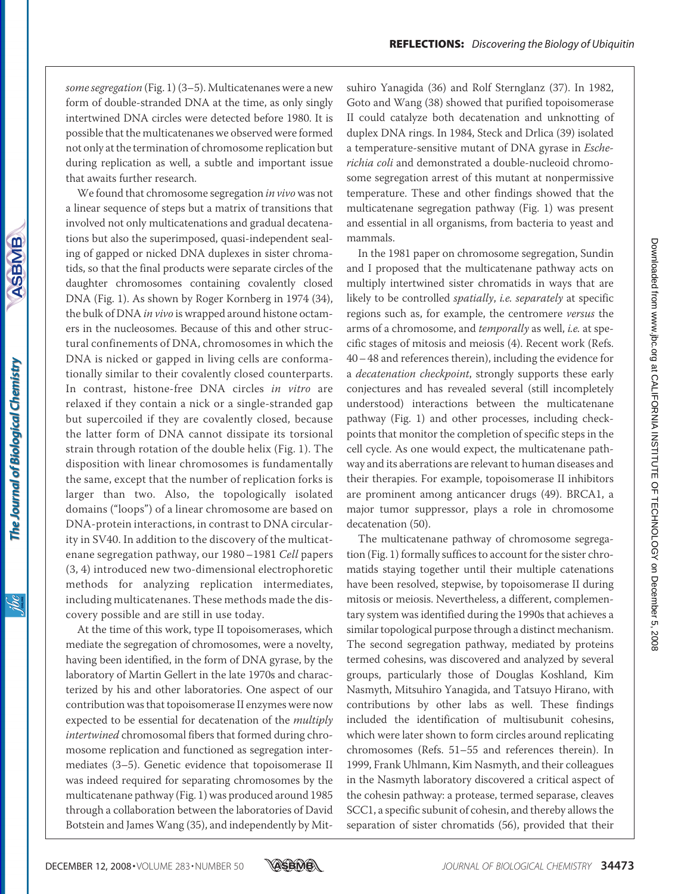*some segregation* (Fig. 1) (3–5). Multicatenanes were a new form of double-stranded DNA at the time, as only singly intertwined DNA circles were detected before 1980. It is possible that the multicatenanes we observed were formed not only at the termination of chromosome replication but during replication as well, a subtle and important issue that awaits further research.

We found that chromosome segregation *in vivo* was not a linear sequence of steps but a matrix of transitions that involved not only multicatenations and gradual decatenations but also the superimposed, quasi-independent sealing of gapped or nicked DNA duplexes in sister chromatids, so that the final products were separate circles of the daughter chromosomes containing covalently closed DNA (Fig. 1). As shown by Roger Kornberg in 1974 (34), the bulk of DNA *in vivo* is wrapped around histone octamers in the nucleosomes. Because of this and other structural confinements of DNA, chromosomes in which the DNA is nicked or gapped in living cells are conformationally similar to their covalently closed counterparts. In contrast, histone-free DNA circles *in vitro* are relaxed if they contain a nick or a single-stranded gap but supercoiled if they are covalently closed, because the latter form of DNA cannot dissipate its torsional strain through rotation of the double helix (Fig. 1). The disposition with linear chromosomes is fundamentally the same, except that the number of replication forks is larger than two. Also, the topologically isolated domains ("loops") of a linear chromosome are based on DNA-protein interactions, in contrast to DNA circularity in SV40. In addition to the discovery of the multicatenane segregation pathway, our 1980–1981 *Cell* papers (3, 4) introduced new two-dimensional electrophoretic methods for analyzing replication intermediates, including multicatenanes. These methods made the discovery possible and are still in use today.

At the time of this work, type II topoisomerases, which mediate the segregation of chromosomes, were a novelty, having been identified, in the form of DNA gyrase, by the laboratory of Martin Gellert in the late 1970s and characterized by his and other laboratories. One aspect of our contribution was that topoisomerase II enzymes were now expected to be essential for decatenation of the *multiply intertwined* chromosomal fibers that formed during chromosome replication and functioned as segregation intermediates (3–5). Genetic evidence that topoisomerase II was indeed required for separating chromosomes by the multicatenane pathway (Fig. 1) was produced around 1985 through a collaboration between the laboratories of David Botstein and James Wang (35), and independently by Mitsuhiro Yanagida (36) and Rolf Sternglanz (37). In 1982, Goto and Wang (38) showed that purified topoisomerase II could catalyze both decatenation and unknotting of duplex DNA rings. In 1984, Steck and Drlica (39) isolated a temperature-sensitive mutant of DNA gyrase in *Escherichia coli* and demonstrated a double-nucleoid chromosome segregation arrest of this mutant at nonpermissive temperature. These and other findings showed that the multicatenane segregation pathway (Fig. 1) was present and essential in all organisms, from bacteria to yeast and mammals.

In the 1981 paper on chromosome segregation, Sundin and I proposed that the multicatenane pathway acts on multiply intertwined sister chromatids in ways that are likely to be controlled *spatially*, *i.e. separately* at specific regions such as, for example, the centromere *versus* the arms of a chromosome, and *temporally* as well, *i.e.* at specific stages of mitosis and meiosis (4). Recent work (Refs. 40–48 and references therein), including the evidence for a *decatenation checkpoint*, strongly supports these early conjectures and has revealed several (still incompletely understood) interactions between the multicatenane pathway (Fig. 1) and other processes, including checkpoints that monitor the completion of specific steps in the cell cycle. As one would expect, the multicatenane pathway and its aberrations are relevant to human diseases and their therapies. For example, topoisomerase II inhibitors are prominent among anticancer drugs (49). BRCA1, a major tumor suppressor, plays a role in chromosome decatenation (50).

The multicatenane pathway of chromosome segregation (Fig. 1) formally suffices to account for the sister chromatids staying together until their multiple catenations have been resolved, stepwise, by topoisomerase II during mitosis or meiosis. Nevertheless, a different, complementary system was identified during the 1990s that achieves a similar topological purpose through a distinct mechanism. The second segregation pathway, mediated by proteins termed cohesins, was discovered and analyzed by several groups, particularly those of Douglas Koshland, Kim Nasmyth, Mitsuhiro Yanagida, and Tatsuyo Hirano, with contributions by other labs as well. These findings included the identification of multisubunit cohesins, which were later shown to form circles around replicating chromosomes (Refs. 51–55 and references therein). In 1999, Frank Uhlmann, Kim Nasmyth, and their colleagues in the Nasmyth laboratory discovered a critical aspect of the cohesin pathway: a protease, termed separase, cleaves SCC1, a specific subunit of cohesin, and thereby allows the separation of sister chromatids (56), provided that their

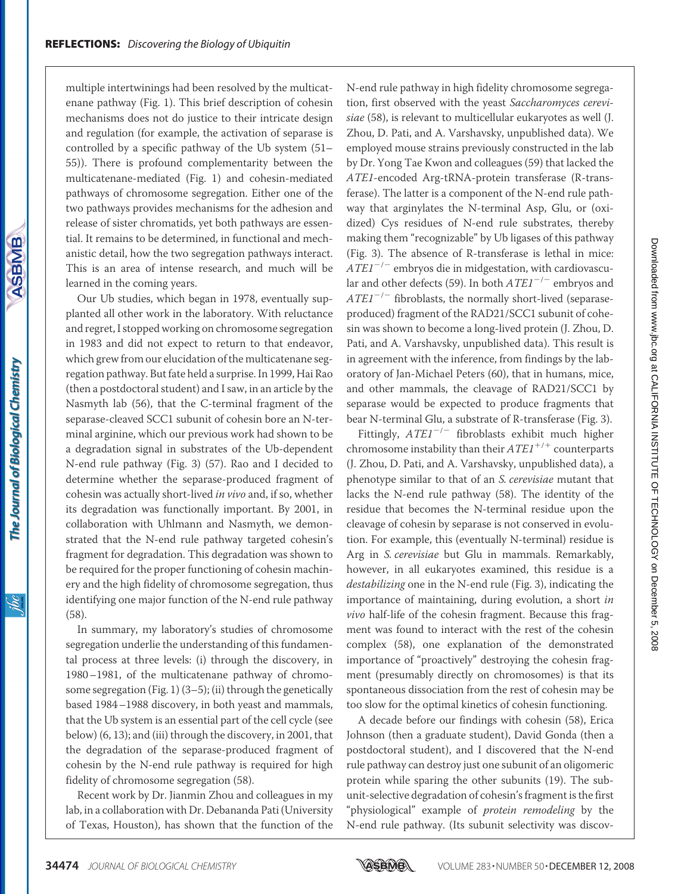multiple intertwinings had been resolved by the multicatenane pathway (Fig. 1). This brief description of cohesin mechanisms does not do justice to their intricate design and regulation (for example, the activation of separase is controlled by a specific pathway of the Ub system (51– 55)). There is profound complementarity between the multicatenane-mediated (Fig. 1) and cohesin-mediated pathways of chromosome segregation. Either one of the two pathways provides mechanisms for the adhesion and release of sister chromatids, yet both pathways are essential. It remains to be determined, in functional and mechanistic detail, how the two segregation pathways interact. This is an area of intense research, and much will be learned in the coming years.

Our Ub studies, which began in 1978, eventually supplanted all other work in the laboratory. With reluctance and regret, I stopped working on chromosome segregation in 1983 and did not expect to return to that endeavor, which grew from our elucidation of the multicatenane segregation pathway. But fate held a surprise. In 1999, Hai Rao (then a postdoctoral student) and I saw, in an article by the Nasmyth lab (56), that the C-terminal fragment of the separase-cleaved SCC1 subunit of cohesin bore an N-terminal arginine, which our previous work had shown to be a degradation signal in substrates of the Ub-dependent N-end rule pathway (Fig. 3) (57). Rao and I decided to determine whether the separase-produced fragment of cohesin was actually short-lived *in vivo* and, if so, whether its degradation was functionally important. By 2001, in collaboration with Uhlmann and Nasmyth, we demonstrated that the N-end rule pathway targeted cohesin's fragment for degradation. This degradation was shown to be required for the proper functioning of cohesin machinery and the high fidelity of chromosome segregation, thus identifying one major function of the N-end rule pathway (58).

In summary, my laboratory's studies of chromosome segregation underlie the understanding of this fundamental process at three levels: (i) through the discovery, in 1980–1981, of the multicatenane pathway of chromosome segregation (Fig. 1) (3–5); (ii) through the genetically based 1984–1988 discovery, in both yeast and mammals, that the Ub system is an essential part of the cell cycle (see below) (6, 13); and (iii) through the discovery, in 2001, that the degradation of the separase-produced fragment of cohesin by the N-end rule pathway is required for high fidelity of chromosome segregation (58).

Recent work by Dr. Jianmin Zhou and colleagues in my lab, in a collaboration with Dr. Debananda Pati (University of Texas, Houston), has shown that the function of the N-end rule pathway in high fidelity chromosome segregation, first observed with the yeast *Saccharomyces cerevisiae* (58), is relevant to multicellular eukaryotes as well (J. Zhou, D. Pati, and A. Varshavsky, unpublished data). We employed mouse strains previously constructed in the lab by Dr. Yong Tae Kwon and colleagues (59) that lacked the *ATE1*-encoded Arg-tRNA-protein transferase (R-transferase). The latter is a component of the N-end rule pathway that arginylates the N-terminal Asp, Glu, or (oxidized) Cys residues of N-end rule substrates, thereby making them "recognizable" by Ub ligases of this pathway (Fig. 3). The absence of R-transferase is lethal in mice:  $ATEI^{-/-}$  embryos die in midgestation, with cardiovascular and other defects (59). In both  $ATEI^{-/-}$  embryos and  $ATEI^{-/-}$  fibroblasts, the normally short-lived (separaseproduced) fragment of the RAD21/SCC1 subunit of cohesin was shown to become a long-lived protein (J. Zhou, D. Pati, and A. Varshavsky, unpublished data). This result is in agreement with the inference, from findings by the laboratory of Jan-Michael Peters (60), that in humans, mice, and other mammals, the cleavage of RAD21/SCC1 by separase would be expected to produce fragments that bear N-terminal Glu, a substrate of R-transferase (Fig. 3).

Fittingly,  $ATEI^{-/-}$  fibroblasts exhibit much higher chromosome instability than their  $A T E I^{+/+}$  counterparts (J. Zhou, D. Pati, and A. Varshavsky, unpublished data), a phenotype similar to that of an *S. cerevisiae* mutant that lacks the N-end rule pathway (58). The identity of the residue that becomes the N-terminal residue upon the cleavage of cohesin by separase is not conserved in evolution. For example, this (eventually N-terminal) residue is Arg in *S. cerevisiae* but Glu in mammals. Remarkably, however, in all eukaryotes examined, this residue is a *destabilizing* one in the N-end rule (Fig. 3), indicating the importance of maintaining, during evolution, a short *in vivo* half-life of the cohesin fragment. Because this fragment was found to interact with the rest of the cohesin complex (58), one explanation of the demonstrated importance of "proactively" destroying the cohesin fragment (presumably directly on chromosomes) is that its spontaneous dissociation from the rest of cohesin may be too slow for the optimal kinetics of cohesin functioning.

A decade before our findings with cohesin (58), Erica Johnson (then a graduate student), David Gonda (then a postdoctoral student), and I discovered that the N-end rule pathway can destroy just one subunit of an oligomeric protein while sparing the other subunits (19). The subunit-selective degradation of cohesin's fragment is the first "physiological" example of *protein remodeling* by the N-end rule pathway. (Its subunit selectivity was discov-

ASBMB

The Journal of Biological Chemistry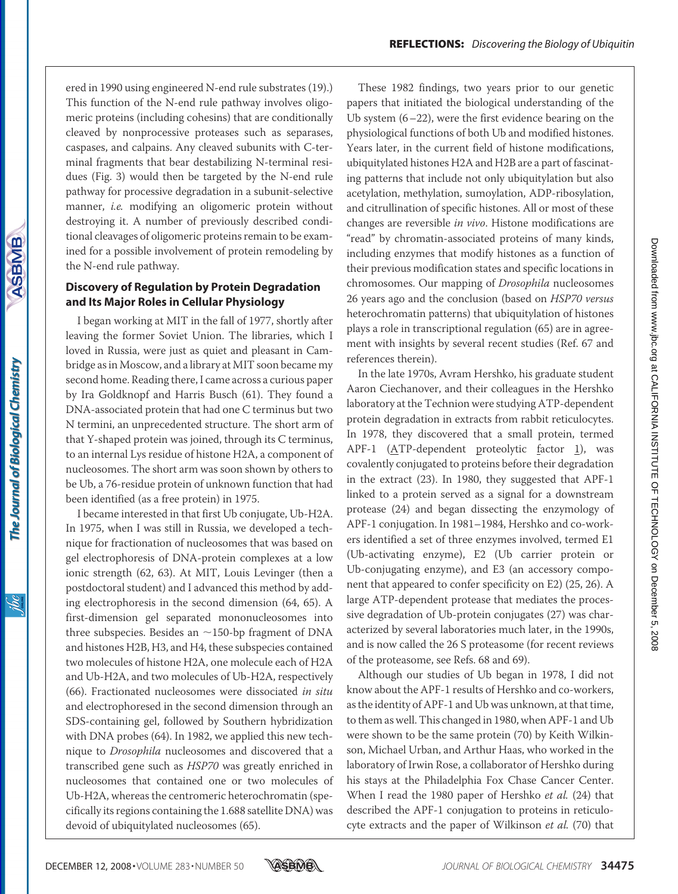ered in 1990 using engineered N-end rule substrates (19).) This function of the N-end rule pathway involves oligomeric proteins (including cohesins) that are conditionally cleaved by nonprocessive proteases such as separases, caspases, and calpains. Any cleaved subunits with C-terminal fragments that bear destabilizing N-terminal residues (Fig. 3) would then be targeted by the N-end rule pathway for processive degradation in a subunit-selective manner, *i.e.* modifying an oligomeric protein without destroying it. A number of previously described conditional cleavages of oligomeric proteins remain to be examined for a possible involvement of protein remodeling by the N-end rule pathway.

# **Discovery of Regulation by Protein Degradation and Its Major Roles in Cellular Physiology**

I began working at MIT in the fall of 1977, shortly after leaving the former Soviet Union. The libraries, which I loved in Russia, were just as quiet and pleasant in Cambridge as in Moscow, and a library at MIT soon became my second home. Reading there, I came across a curious paper by Ira Goldknopf and Harris Busch (61). They found a DNA-associated protein that had one C terminus but two N termini, an unprecedented structure. The short arm of that Y-shaped protein was joined, through its C terminus, to an internal Lys residue of histone H2A, a component of nucleosomes. The short arm was soon shown by others to be Ub, a 76-residue protein of unknown function that had been identified (as a free protein) in 1975.

I became interested in that first Ub conjugate, Ub-H2A. In 1975, when I was still in Russia, we developed a technique for fractionation of nucleosomes that was based on gel electrophoresis of DNA-protein complexes at a low ionic strength (62, 63). At MIT, Louis Levinger (then a postdoctoral student) and I advanced this method by adding electrophoresis in the second dimension (64, 65). A first-dimension gel separated mononucleosomes into three subspecies. Besides an  $\sim$ 150-bp fragment of DNA and histones H2B, H3, and H4, these subspecies contained two molecules of histone H2A, one molecule each of H2A and Ub-H2A, and two molecules of Ub-H2A, respectively (66). Fractionated nucleosomes were dissociated *in situ* and electrophoresed in the second dimension through an SDS-containing gel, followed by Southern hybridization with DNA probes (64). In 1982, we applied this new technique to *Drosophila* nucleosomes and discovered that a transcribed gene such as *HSP70* was greatly enriched in nucleosomes that contained one or two molecules of Ub-H2A, whereas the centromeric heterochromatin (specifically its regions containing the 1.688 satellite DNA) was devoid of ubiquitylated nucleosomes (65).

These 1982 findings, two years prior to our genetic papers that initiated the biological understanding of the Ub system  $(6-22)$ , were the first evidence bearing on the physiological functions of both Ub and modified histones. Years later, in the current field of histone modifications, ubiquitylated histones H2A and H2B are a part of fascinating patterns that include not only ubiquitylation but also acetylation, methylation, sumoylation, ADP-ribosylation, and citrullination of specific histones. All or most of these changes are reversible *in vivo*. Histone modifications are "read" by chromatin-associated proteins of many kinds, including enzymes that modify histones as a function of their previous modification states and specific locations in chromosomes. Our mapping of *Drosophila* nucleosomes 26 years ago and the conclusion (based on *HSP70 versus* heterochromatin patterns) that ubiquitylation of histones plays a role in transcriptional regulation (65) are in agreement with insights by several recent studies (Ref. 67 and references therein).

In the late 1970s, Avram Hershko, his graduate student Aaron Ciechanover, and their colleagues in the Hershko laboratory at the Technion were studying ATP-dependent protein degradation in extracts from rabbit reticulocytes. In 1978, they discovered that a small protein, termed APF-1 ( $ATP$ -dependent proteolytic factor 1), was covalently conjugated to proteins before their degradation in the extract (23). In 1980, they suggested that APF-1 linked to a protein served as a signal for a downstream protease (24) and began dissecting the enzymology of APF-1 conjugation. In 1981–1984, Hershko and co-workers identified a set of three enzymes involved, termed E1 (Ub-activating enzyme), E2 (Ub carrier protein or Ub-conjugating enzyme), and E3 (an accessory component that appeared to confer specificity on E2) (25, 26). A large ATP-dependent protease that mediates the processive degradation of Ub-protein conjugates (27) was characterized by several laboratories much later, in the 1990s, and is now called the 26 S proteasome (for recent reviews of the proteasome, see Refs. 68 and 69).

Although our studies of Ub began in 1978, I did not know about the APF-1 results of Hershko and co-workers, as the identity of APF-1 and Ub was unknown, at that time, to them as well. This changed in 1980, when APF-1 and Ub were shown to be the same protein (70) by Keith Wilkinson, Michael Urban, and Arthur Haas, who worked in the laboratory of Irwin Rose, a collaborator of Hershko during his stays at the Philadelphia Fox Chase Cancer Center. When I read the 1980 paper of Hershko *et al.* (24) that described the APF-1 conjugation to proteins in reticulocyte extracts and the paper of Wilkinson *et al.* (70) that

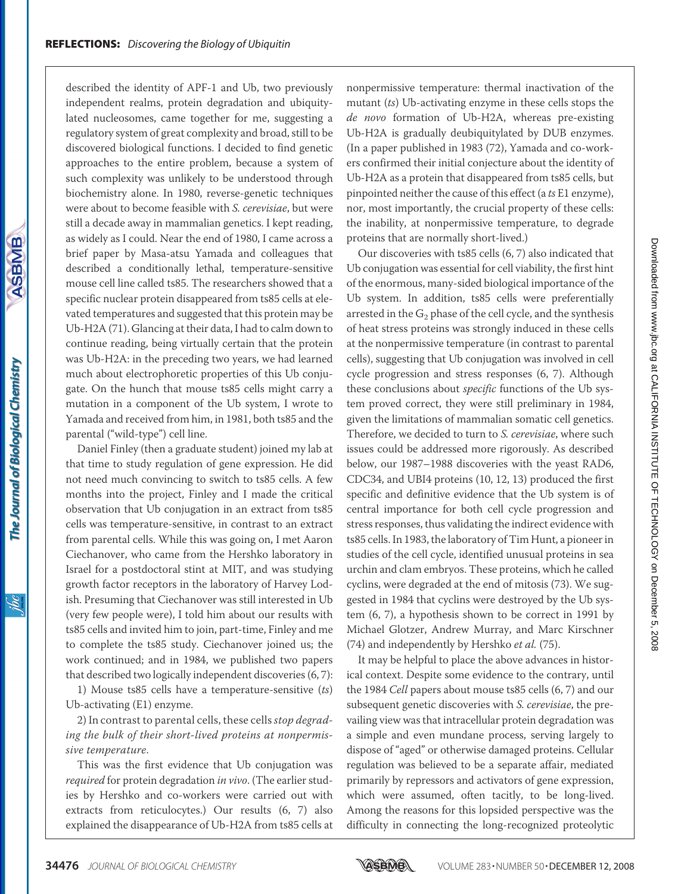described the identity of APF-1 and Ub, two previously independent realms, protein degradation and ubiquitylated nucleosomes, came together for me, suggesting a regulatory system of great complexity and broad, still to be discovered biological functions. I decided to find genetic approaches to the entire problem, because a system of such complexity was unlikely to be understood through biochemistry alone. In 1980, reverse-genetic techniques were about to become feasible with *S. cerevisiae*, but were still a decade away in mammalian genetics. I kept reading, as widely as I could. Near the end of 1980, I came across a brief paper by Masa-atsu Yamada and colleagues that described a conditionally lethal, temperature-sensitive mouse cell line called ts85. The researchers showed that a specific nuclear protein disappeared from ts85 cells at elevated temperatures and suggested that this protein may be Ub-H2A (71). Glancing at their data, I had to calm down to continue reading, being virtually certain that the protein was Ub-H2A: in the preceding two years, we had learned much about electrophoretic properties of this Ub conjugate. On the hunch that mouse ts85 cells might carry a mutation in a component of the Ub system, I wrote to Yamada and received from him, in 1981, both ts85 and the parental ("wild-type") cell line.

Daniel Finley (then a graduate student) joined my lab at that time to study regulation of gene expression. He did not need much convincing to switch to ts85 cells. A few months into the project, Finley and I made the critical observation that Ub conjugation in an extract from ts85 cells was temperature-sensitive, in contrast to an extract from parental cells. While this was going on, I met Aaron Ciechanover, who came from the Hershko laboratory in Israel for a postdoctoral stint at MIT, and was studying growth factor receptors in the laboratory of Harvey Lodish. Presuming that Ciechanover was still interested in Ub (very few people were), I told him about our results with ts85 cells and invited him to join, part-time, Finley and me to complete the ts85 study. Ciechanover joined us; the work continued; and in 1984, we published two papers that described two logically independent discoveries (6, 7):

1) Mouse ts85 cells have a temperature-sensitive (*ts*) Ub-activating (E1) enzyme.

2) In contrast to parental cells, these cells *stop degrading the bulk of their short-lived proteins at nonpermissive temperature*.

This was the first evidence that Ub conjugation was *required* for protein degradation *in vivo*. (The earlier studies by Hershko and co-workers were carried out with extracts from reticulocytes.) Our results (6, 7) also explained the disappearance of Ub-H2A from ts85 cells at nonpermissive temperature: thermal inactivation of the mutant (*ts*) Ub-activating enzyme in these cells stops the *de novo* formation of Ub-H2A, whereas pre-existing Ub-H2A is gradually deubiquitylated by DUB enzymes. (In a paper published in 1983 (72), Yamada and co-workers confirmed their initial conjecture about the identity of Ub-H2A as a protein that disappeared from ts85 cells, but pinpointed neither the cause of this effect (a *ts* E1 enzyme), nor, most importantly, the crucial property of these cells: the inability, at nonpermissive temperature, to degrade proteins that are normally short-lived.)

Our discoveries with ts85 cells (6, 7) also indicated that Ub conjugation was essential for cell viability, the first hint of the enormous, many-sided biological importance of the Ub system. In addition, ts85 cells were preferentially arrested in the  $\mathrm{G}_2$  phase of the cell cycle, and the synthesis of heat stress proteins was strongly induced in these cells at the nonpermissive temperature (in contrast to parental cells), suggesting that Ub conjugation was involved in cell cycle progression and stress responses (6, 7). Although these conclusions about *specific* functions of the Ub system proved correct, they were still preliminary in 1984, given the limitations of mammalian somatic cell genetics. Therefore, we decided to turn to *S. cerevisiae*, where such issues could be addressed more rigorously. As described below, our 1987–1988 discoveries with the yeast RAD6, CDC34, and UBI4 proteins (10, 12, 13) produced the first specific and definitive evidence that the Ub system is of central importance for both cell cycle progression and stress responses, thus validating the indirect evidence with ts85 cells. In 1983, the laboratory of Tim Hunt, a pioneer in studies of the cell cycle, identified unusual proteins in sea urchin and clam embryos. These proteins, which he called cyclins, were degraded at the end of mitosis (73). We suggested in 1984 that cyclins were destroyed by the Ub system (6, 7), a hypothesis shown to be correct in 1991 by Michael Glotzer, Andrew Murray, and Marc Kirschner (74) and independently by Hershko *et al.* (75).

It may be helpful to place the above advances in historical context. Despite some evidence to the contrary, until the 1984 *Cell* papers about mouse ts85 cells (6, 7) and our subsequent genetic discoveries with *S. cerevisiae*, the prevailing view was that intracellular protein degradation was a simple and even mundane process, serving largely to dispose of "aged" or otherwise damaged proteins. Cellular regulation was believed to be a separate affair, mediated primarily by repressors and activators of gene expression, which were assumed, often tacitly, to be long-lived. Among the reasons for this lopsided perspective was the difficulty in connecting the long-recognized proteolytic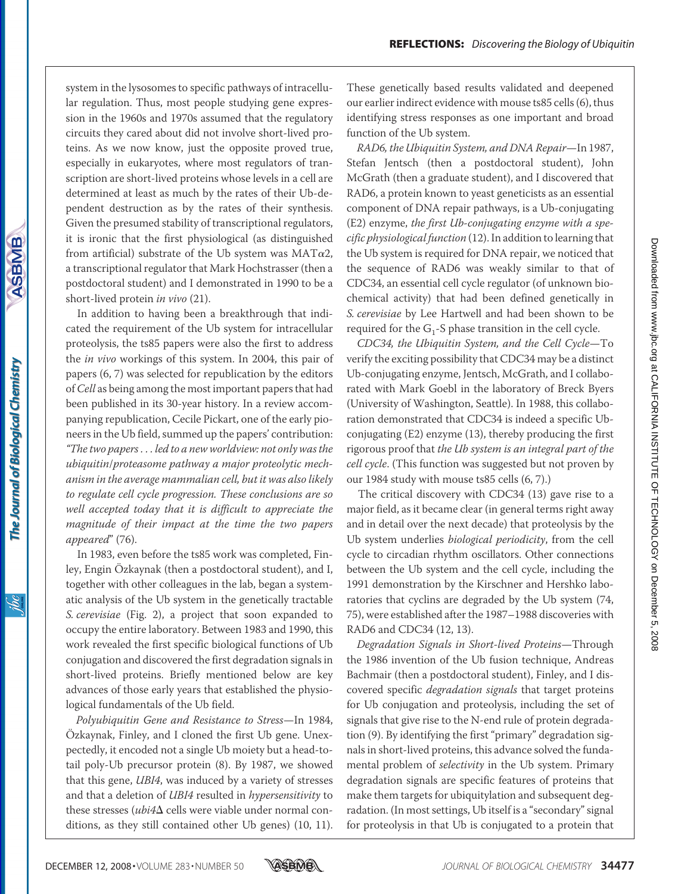system in the lysosomes to specific pathways of intracellular regulation. Thus, most people studying gene expression in the 1960s and 1970s assumed that the regulatory circuits they cared about did not involve short-lived proteins. As we now know, just the opposite proved true, especially in eukaryotes, where most regulators of transcription are short-lived proteins whose levels in a cell are determined at least as much by the rates of their Ub-dependent destruction as by the rates of their synthesis. Given the presumed stability of transcriptional regulators, it is ironic that the first physiological (as distinguished from artificial) substrate of the Ub system was MAT $\alpha$ 2, a transcriptional regulator that Mark Hochstrasser (then a postdoctoral student) and I demonstrated in 1990 to be a short-lived protein *in vivo* (21).

In addition to having been a breakthrough that indicated the requirement of the Ub system for intracellular proteolysis, the ts85 papers were also the first to address the *in vivo* workings of this system. In 2004, this pair of papers (6, 7) was selected for republication by the editors of *Cell* as being among the most important papers that had been published in its 30-year history. In a review accompanying republication, Cecile Pickart, one of the early pioneers in the Ub field, summed up the papers' contribution: *"The two papers . . . led to a newworldview: not only was the ubiquitin*/*proteasome pathway a major proteolytic mechanism in the average mammalian cell, but it was also likely to regulate cell cycle progression. These conclusions are so well accepted today that it is difficult to appreciate the magnitude of their impact at the time the two papers appeared*" (76).

In 1983, even before the ts85 work was completed, Finley, Engin Özkaynak (then a postdoctoral student), and I, together with other colleagues in the lab, began a systematic analysis of the Ub system in the genetically tractable *S. cerevisiae* (Fig. 2), a project that soon expanded to occupy the entire laboratory. Between 1983 and 1990, this work revealed the first specific biological functions of Ub conjugation and discovered the first degradation signals in short-lived proteins. Briefly mentioned below are key advances of those early years that established the physiological fundamentals of the Ub field.

*Polyubiquitin Gene and Resistance to Stress*—In 1984, Özkaynak, Finley, and I cloned the first Ub gene. Unexpectedly, it encoded not a single Ub moiety but a head-totail poly-Ub precursor protein (8). By 1987, we showed that this gene, *UBI4*, was induced by a variety of stresses and that a deletion of *UBI4* resulted in *hypersensitivity* to these stresses ( $ubi4\Delta$  cells were viable under normal conditions, as they still contained other Ub genes) (10, 11).

These genetically based results validated and deepened our earlier indirect evidence with mouse ts85 cells (6), thus identifying stress responses as one important and broad function of the Ub system.

*RAD6, the Ubiquitin System, and DNA Repair*—In 1987, Stefan Jentsch (then a postdoctoral student), John McGrath (then a graduate student), and I discovered that RAD6, a protein known to yeast geneticists as an essential component of DNA repair pathways, is a Ub-conjugating (E2) enzyme, *the first Ub-conjugating enzyme with a specific physiological function* (12). In addition to learning that the Ub system is required for DNA repair, we noticed that the sequence of RAD6 was weakly similar to that of CDC34, an essential cell cycle regulator (of unknown biochemical activity) that had been defined genetically in *S. cerevisiae* by Lee Hartwell and had been shown to be required for the  $G_1$ -S phase transition in the cell cycle.

*CDC34, the Ubiquitin System, and the Cell Cycle*—To verify the exciting possibility that CDC34 may be a distinct Ub-conjugating enzyme, Jentsch, McGrath, and I collaborated with Mark Goebl in the laboratory of Breck Byers (University of Washington, Seattle). In 1988, this collaboration demonstrated that CDC34 is indeed a specific Ubconjugating (E2) enzyme (13), thereby producing the first rigorous proof that *the Ub system is an integral part of the cell cycle*. (This function was suggested but not proven by our 1984 study with mouse ts85 cells (6, 7).)

The critical discovery with CDC34 (13) gave rise to a major field, as it became clear (in general terms right away and in detail over the next decade) that proteolysis by the Ub system underlies *biological periodicity*, from the cell cycle to circadian rhythm oscillators. Other connections between the Ub system and the cell cycle, including the 1991 demonstration by the Kirschner and Hershko laboratories that cyclins are degraded by the Ub system (74, 75), were established after the 1987–1988 discoveries with RAD6 and CDC34 (12, 13).

*Degradation Signals in Short-lived Proteins*—Through the 1986 invention of the Ub fusion technique, Andreas Bachmair (then a postdoctoral student), Finley, and I discovered specific *degradation signals* that target proteins for Ub conjugation and proteolysis, including the set of signals that give rise to the N-end rule of protein degradation (9). By identifying the first "primary" degradation signals in short-lived proteins, this advance solved the fundamental problem of *selectivity* in the Ub system. Primary degradation signals are specific features of proteins that make them targets for ubiquitylation and subsequent degradation. (In most settings, Ub itself is a "secondary" signal for proteolysis in that Ub is conjugated to a protein that

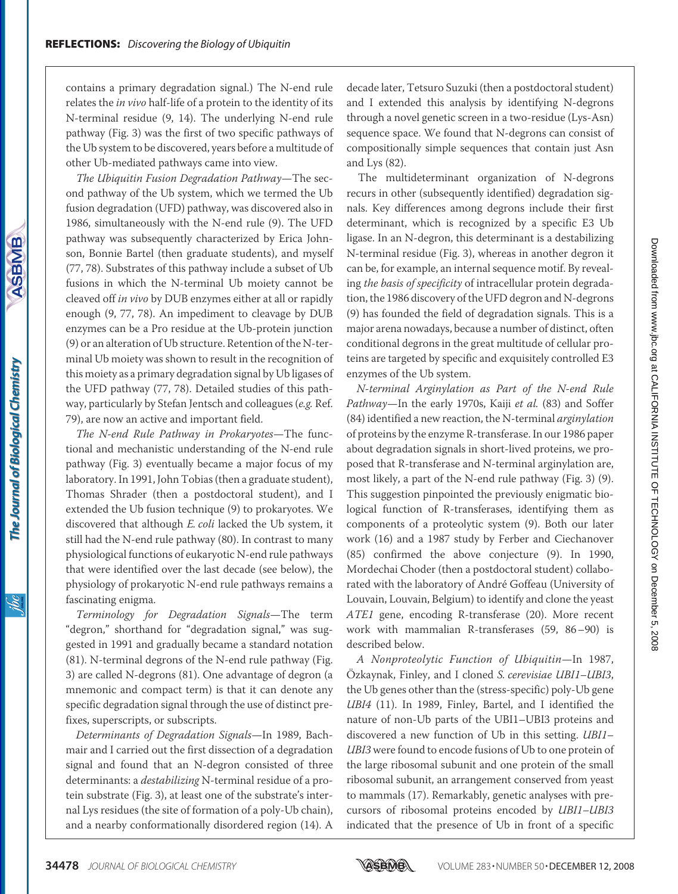contains a primary degradation signal.) The N-end rule relates the *in vivo* half-life of a protein to the identity of its N-terminal residue (9, 14). The underlying N-end rule pathway (Fig. 3) was the first of two specific pathways of the Ub system to be discovered, years before a multitude of other Ub-mediated pathways came into view.

*The Ubiquitin Fusion Degradation Pathway*—The second pathway of the Ub system, which we termed the Ub fusion degradation (UFD) pathway, was discovered also in 1986, simultaneously with the N-end rule (9). The UFD pathway was subsequently characterized by Erica Johnson, Bonnie Bartel (then graduate students), and myself (77, 78). Substrates of this pathway include a subset of Ub fusions in which the N-terminal Ub moiety cannot be cleaved off *in vivo* by DUB enzymes either at all or rapidly enough (9, 77, 78). An impediment to cleavage by DUB enzymes can be a Pro residue at the Ub-protein junction (9) or an alteration of Ub structure. Retention of the N-terminal Ub moiety was shown to result in the recognition of this moiety as a primary degradation signal by Ub ligases of the UFD pathway (77, 78). Detailed studies of this pathway, particularly by Stefan Jentsch and colleagues (*e.g.* Ref. 79), are now an active and important field.

*The N-end Rule Pathway in Prokaryotes*—The functional and mechanistic understanding of the N-end rule pathway (Fig. 3) eventually became a major focus of my laboratory. In 1991, John Tobias (then a graduate student), Thomas Shrader (then a postdoctoral student), and I extended the Ub fusion technique (9) to prokaryotes. We discovered that although *E. coli* lacked the Ub system, it still had the N-end rule pathway (80). In contrast to many physiological functions of eukaryotic N-end rule pathways that were identified over the last decade (see below), the physiology of prokaryotic N-end rule pathways remains a fascinating enigma.

*Terminology for Degradation Signals*—The term "degron," shorthand for "degradation signal," was suggested in 1991 and gradually became a standard notation (81). N-terminal degrons of the N-end rule pathway (Fig. 3) are called N-degrons (81). One advantage of degron (a mnemonic and compact term) is that it can denote any specific degradation signal through the use of distinct prefixes, superscripts, or subscripts.

*Determinants of Degradation Signals*—In 1989, Bachmair and I carried out the first dissection of a degradation signal and found that an N-degron consisted of three determinants: a *destabilizing* N-terminal residue of a protein substrate (Fig. 3), at least one of the substrate's internal Lys residues (the site of formation of a poly-Ub chain), and a nearby conformationally disordered region (14). A decade later, Tetsuro Suzuki (then a postdoctoral student) and I extended this analysis by identifying N-degrons through a novel genetic screen in a two-residue (Lys-Asn) sequence space. We found that N-degrons can consist of compositionally simple sequences that contain just Asn and Lys (82).

The multideterminant organization of N-degrons recurs in other (subsequently identified) degradation signals. Key differences among degrons include their first determinant, which is recognized by a specific E3 Ub ligase. In an N-degron, this determinant is a destabilizing N-terminal residue (Fig. 3), whereas in another degron it can be, for example, an internal sequence motif. By revealing *the basis of specificity* of intracellular protein degradation, the 1986 discovery of the UFD degron and N-degrons (9) has founded the field of degradation signals. This is a major arena nowadays, because a number of distinct, often conditional degrons in the great multitude of cellular proteins are targeted by specific and exquisitely controlled E3 enzymes of the Ub system.

*N-terminal Arginylation as Part of the N-end Rule Pathway*—In the early 1970s, Kaiji *et al.* (83) and Soffer (84) identified a new reaction, the N-terminal *arginylation* of proteins by the enzyme R-transferase. In our 1986 paper about degradation signals in short-lived proteins, we proposed that R-transferase and N-terminal arginylation are, most likely, a part of the N-end rule pathway (Fig. 3) (9). This suggestion pinpointed the previously enigmatic biological function of R-transferases, identifying them as components of a proteolytic system (9). Both our later work (16) and a 1987 study by Ferber and Ciechanover (85) confirmed the above conjecture (9). In 1990, Mordechai Choder (then a postdoctoral student) collaborated with the laboratory of André Goffeau (University of Louvain, Louvain, Belgium) to identify and clone the yeast *ATE1* gene, encoding R-transferase (20). More recent work with mammalian R-transferases (59, 86–90) is described below.

*A Nonproteolytic Function of Ubiquitin*—In 1987, Özkaynak, Finley, and I cloned *S. cerevisiae UBI1-UBI3*, the Ub genes other than the (stress-specific) poly-Ub gene *UBI4* (11). In 1989, Finley, Bartel, and I identified the nature of non-Ub parts of the UBI1–UBI3 proteins and discovered a new function of Ub in this setting. *UBI1– UBI3* were found to encode fusions of Ub to one protein of the large ribosomal subunit and one protein of the small ribosomal subunit, an arrangement conserved from yeast to mammals (17). Remarkably, genetic analyses with precursors of ribosomal proteins encoded by *UBI1–UBI3* indicated that the presence of Ub in front of a specific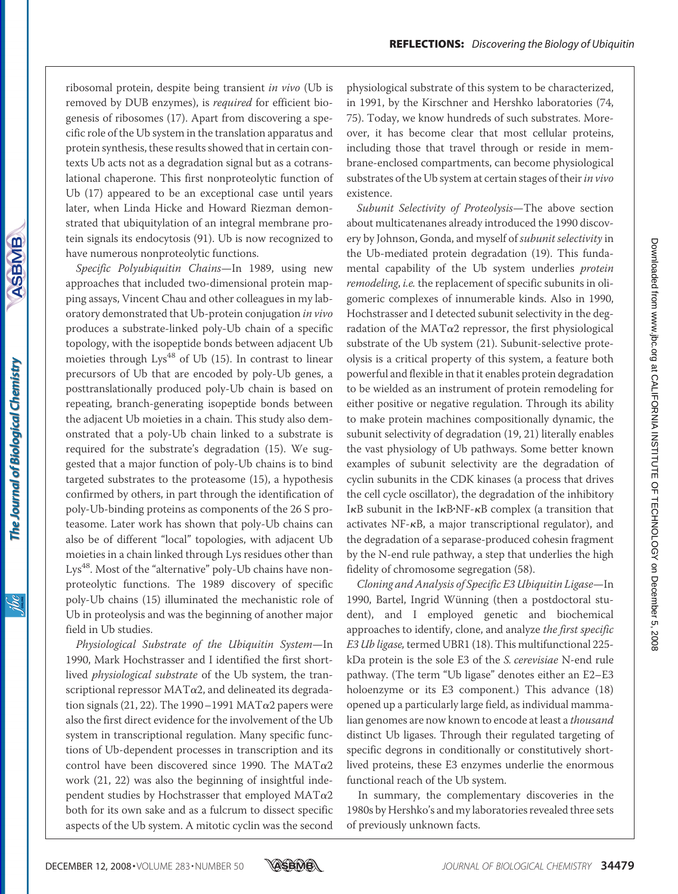ribosomal protein, despite being transient *in vivo* (Ub is removed by DUB enzymes), is *required* for efficient biogenesis of ribosomes (17). Apart from discovering a specific role of the Ub system in the translation apparatus and protein synthesis, these results showed that in certain contexts Ub acts not as a degradation signal but as a cotranslational chaperone. This first nonproteolytic function of Ub (17) appeared to be an exceptional case until years later, when Linda Hicke and Howard Riezman demonstrated that ubiquitylation of an integral membrane protein signals its endocytosis (91). Ub is now recognized to have numerous nonproteolytic functions.

*Specific Polyubiquitin Chains*—In 1989, using new approaches that included two-dimensional protein mapping assays, Vincent Chau and other colleagues in my laboratory demonstrated that Ub-protein conjugation *in vivo* produces a substrate-linked poly-Ub chain of a specific topology, with the isopeptide bonds between adjacent Ub moieties through  $Lys^{48}$  of Ub (15). In contrast to linear precursors of Ub that are encoded by poly-Ub genes, a posttranslationally produced poly-Ub chain is based on repeating, branch-generating isopeptide bonds between the adjacent Ub moieties in a chain. This study also demonstrated that a poly-Ub chain linked to a substrate is required for the substrate's degradation (15). We suggested that a major function of poly-Ub chains is to bind targeted substrates to the proteasome (15), a hypothesis confirmed by others, in part through the identification of poly-Ub-binding proteins as components of the 26 S proteasome. Later work has shown that poly-Ub chains can also be of different "local" topologies, with adjacent Ub moieties in a chain linked through Lys residues other than Lys<sup>48</sup>. Most of the "alternative" poly-Ub chains have nonproteolytic functions. The 1989 discovery of specific poly-Ub chains (15) illuminated the mechanistic role of Ub in proteolysis and was the beginning of another major field in Ub studies.

*Physiological Substrate of the Ubiquitin System*—In 1990, Mark Hochstrasser and I identified the first shortlived *physiological substrate* of the Ub system, the transcriptional repressor MAT $\alpha$ 2, and delineated its degradation signals (21, 22). The 1990–1991 MAT $\alpha$ 2 papers were also the first direct evidence for the involvement of the Ub system in transcriptional regulation. Many specific functions of Ub-dependent processes in transcription and its control have been discovered since 1990. The MAT $\alpha$ 2 work (21, 22) was also the beginning of insightful independent studies by Hochstrasser that employed  $MAT\alpha2$ both for its own sake and as a fulcrum to dissect specific aspects of the Ub system. A mitotic cyclin was the second

physiological substrate of this system to be characterized, in 1991, by the Kirschner and Hershko laboratories (74, 75). Today, we know hundreds of such substrates. Moreover, it has become clear that most cellular proteins, including those that travel through or reside in membrane-enclosed compartments, can become physiological substrates of the Ub system at certain stages of their*in vivo* existence.

*Subunit Selectivity of Proteolysis*—The above section about multicatenanes already introduced the 1990 discovery by Johnson, Gonda, and myself of *subunit selectivity* in the Ub-mediated protein degradation (19). This fundamental capability of the Ub system underlies *protein remodeling*, *i.e.* the replacement of specific subunits in oligomeric complexes of innumerable kinds. Also in 1990, Hochstrasser and I detected subunit selectivity in the degradation of the MAT $\alpha$ 2 repressor, the first physiological substrate of the Ub system (21). Subunit-selective proteolysis is a critical property of this system, a feature both powerful and flexible in that it enables protein degradation to be wielded as an instrument of protein remodeling for either positive or negative regulation. Through its ability to make protein machines compositionally dynamic, the subunit selectivity of degradation (19, 21) literally enables the vast physiology of Ub pathways. Some better known examples of subunit selectivity are the degradation of cyclin subunits in the CDK kinases (a process that drives the cell cycle oscillator), the degradation of the inhibitory IKB subunit in the IKB·NF-KB complex (a transition that activates NF- $\kappa$ B, a major transcriptional regulator), and the degradation of a separase-produced cohesin fragment by the N-end rule pathway, a step that underlies the high fidelity of chromosome segregation (58).

*Cloning and Analysis of Specific E3 Ubiquitin Ligase*—In 1990, Bartel, Ingrid Wünning (then a postdoctoral student), and I employed genetic and biochemical approaches to identify, clone, and analyze *the first specific E3 Ub ligase,* termed UBR1 (18). This multifunctional 225 kDa protein is the sole E3 of the *S. cerevisiae* N-end rule pathway. (The term "Ub ligase" denotes either an E2–E3 holoenzyme or its E3 component.) This advance (18) opened up a particularly large field, as individual mammalian genomes are now known to encode at least a *thousand* distinct Ub ligases. Through their regulated targeting of specific degrons in conditionally or constitutively shortlived proteins, these E3 enzymes underlie the enormous functional reach of the Ub system.

In summary, the complementary discoveries in the 1980s by Hershko's and my laboratories revealed three sets of previously unknown facts.

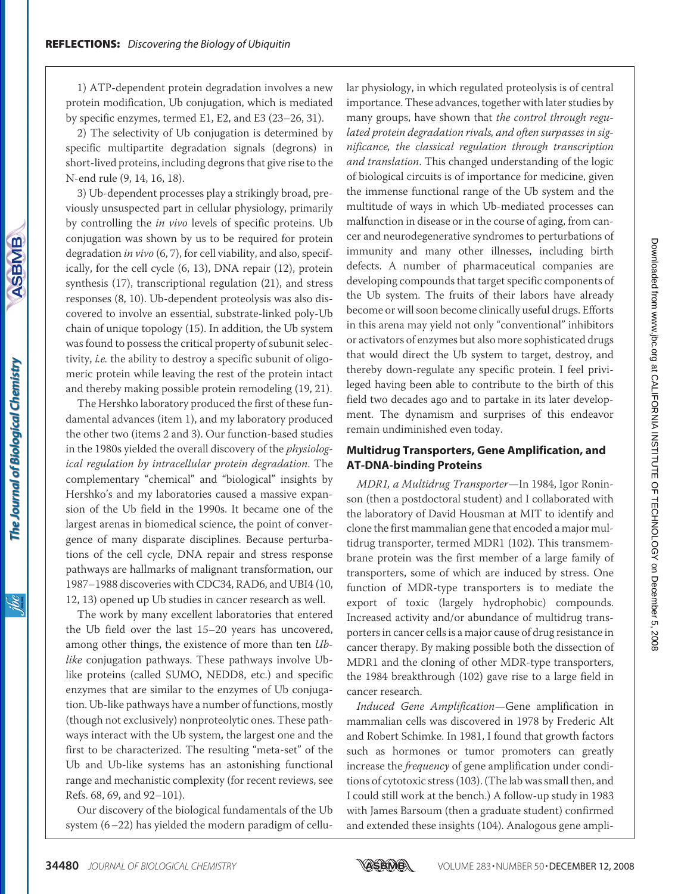1) ATP-dependent protein degradation involves a new protein modification, Ub conjugation, which is mediated by specific enzymes, termed E1, E2, and E3 (23–26, 31).

2) The selectivity of Ub conjugation is determined by specific multipartite degradation signals (degrons) in short-lived proteins, including degrons that give rise to the N-end rule (9, 14, 16, 18).

3) Ub-dependent processes play a strikingly broad, previously unsuspected part in cellular physiology, primarily by controlling the *in vivo* levels of specific proteins. Ub conjugation was shown by us to be required for protein degradation *in vivo* (6, 7), for cell viability, and also, specifically, for the cell cycle (6, 13), DNA repair (12), protein synthesis (17), transcriptional regulation (21), and stress responses (8, 10). Ub-dependent proteolysis was also discovered to involve an essential, substrate-linked poly-Ub chain of unique topology (15). In addition, the Ub system was found to possess the critical property of subunit selectivity, *i.e.* the ability to destroy a specific subunit of oligomeric protein while leaving the rest of the protein intact and thereby making possible protein remodeling (19, 21).

ASBMB

The Journal of Biological Chemistry

The Hershko laboratory produced the first of these fundamental advances (item 1), and my laboratory produced the other two (items 2 and 3). Our function-based studies in the 1980s yielded the overall discovery of the *physiological regulation by intracellular protein degradation*. The complementary "chemical" and "biological" insights by Hershko's and my laboratories caused a massive expansion of the Ub field in the 1990s. It became one of the largest arenas in biomedical science, the point of convergence of many disparate disciplines. Because perturbations of the cell cycle, DNA repair and stress response pathways are hallmarks of malignant transformation, our 1987–1988 discoveries with CDC34, RAD6, and UBI4 (10, 12, 13) opened up Ub studies in cancer research as well.

The work by many excellent laboratories that entered the Ub field over the last 15–20 years has uncovered, among other things, the existence of more than ten *Ublike* conjugation pathways. These pathways involve Ublike proteins (called SUMO, NEDD8, etc.) and specific enzymes that are similar to the enzymes of Ub conjugation. Ub-like pathways have a number of functions, mostly (though not exclusively) nonproteolytic ones. These pathways interact with the Ub system, the largest one and the first to be characterized. The resulting "meta-set" of the Ub and Ub-like systems has an astonishing functional range and mechanistic complexity (for recent reviews, see Refs. 68, 69, and 92–101).

Our discovery of the biological fundamentals of the Ub system (6–22) has yielded the modern paradigm of cellular physiology, in which regulated proteolysis is of central importance. These advances, together with later studies by many groups, have shown that *the control through regulated protein degradation rivals, and often surpasses in significance, the classical regulation through transcription and translation*. This changed understanding of the logic of biological circuits is of importance for medicine, given the immense functional range of the Ub system and the multitude of ways in which Ub-mediated processes can malfunction in disease or in the course of aging, from cancer and neurodegenerative syndromes to perturbations of immunity and many other illnesses, including birth defects. A number of pharmaceutical companies are developing compounds that target specific components of the Ub system. The fruits of their labors have already become or will soon become clinically useful drugs. Efforts in this arena may yield not only "conventional" inhibitors or activators of enzymes but also more sophisticated drugs that would direct the Ub system to target, destroy, and thereby down-regulate any specific protein. I feel privileged having been able to contribute to the birth of this field two decades ago and to partake in its later development. The dynamism and surprises of this endeavor remain undiminished even today.

# **Multidrug Transporters, Gene Amplification, and AT-DNA-binding Proteins**

*MDR1, a Multidrug Transporter*—In 1984, Igor Roninson (then a postdoctoral student) and I collaborated with the laboratory of David Housman at MIT to identify and clone the first mammalian gene that encoded a major multidrug transporter, termed MDR1 (102). This transmembrane protein was the first member of a large family of transporters, some of which are induced by stress. One function of MDR-type transporters is to mediate the export of toxic (largely hydrophobic) compounds. Increased activity and/or abundance of multidrug transporters in cancer cells is a major cause of drug resistance in cancer therapy. By making possible both the dissection of MDR1 and the cloning of other MDR-type transporters, the 1984 breakthrough (102) gave rise to a large field in cancer research.

*Induced Gene Amplification*—Gene amplification in mammalian cells was discovered in 1978 by Frederic Alt and Robert Schimke. In 1981, I found that growth factors such as hormones or tumor promoters can greatly increase the *frequency* of gene amplification under conditions of cytotoxic stress (103). (The lab was small then, and I could still work at the bench.) A follow-up study in 1983 with James Barsoum (then a graduate student) confirmed and extended these insights (104). Analogous gene ampli-

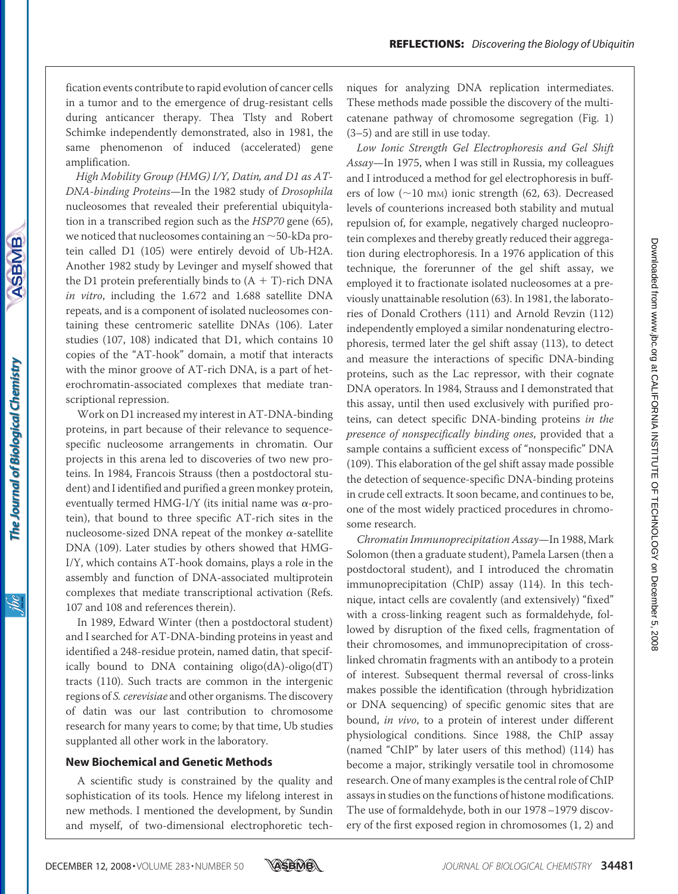fication events contribute to rapid evolution of cancer cells in a tumor and to the emergence of drug-resistant cells during anticancer therapy. Thea Tlsty and Robert Schimke independently demonstrated, also in 1981, the same phenomenon of induced (accelerated) gene amplification.

*High Mobility Group (HMG) I/Y, Datin, and D1 as AT-DNA-binding Proteins*—In the 1982 study of *Drosophila* nucleosomes that revealed their preferential ubiquitylation in a transcribed region such as the *HSP70* gene (65), we noticed that nucleosomes containing an  $\sim$  50-kDa protein called D1 (105) were entirely devoid of Ub-H2A. Another 1982 study by Levinger and myself showed that the  $D1$  protein preferentially binds to  $(A + T)$ -rich  $DNA$ *in vitro*, including the 1.672 and 1.688 satellite DNA repeats, and is a component of isolated nucleosomes containing these centromeric satellite DNAs (106). Later studies (107, 108) indicated that D1, which contains 10 copies of the "AT-hook" domain, a motif that interacts with the minor groove of AT-rich DNA, is a part of heterochromatin-associated complexes that mediate transcriptional repression.

Work on D1 increased my interest in AT-DNA-binding proteins, in part because of their relevance to sequencespecific nucleosome arrangements in chromatin. Our projects in this arena led to discoveries of two new proteins. In 1984, Francois Strauss (then a postdoctoral student) and I identified and purified a green monkey protein, eventually termed HMG-I/Y (its initial name was  $\alpha$ -protein), that bound to three specific AT-rich sites in the nucleosome-sized DNA repeat of the monkey  $\alpha$ -satellite DNA (109). Later studies by others showed that HMG-I/Y, which contains AT-hook domains, plays a role in the assembly and function of DNA-associated multiprotein complexes that mediate transcriptional activation (Refs. 107 and 108 and references therein).

In 1989, Edward Winter (then a postdoctoral student) and I searched for AT-DNA-binding proteins in yeast and identified a 248-residue protein, named datin, that specifically bound to DNA containing oligo(dA)-oligo(dT) tracts (110). Such tracts are common in the intergenic regions of *S. cerevisiae* and other organisms. The discovery of datin was our last contribution to chromosome research for many years to come; by that time, Ub studies supplanted all other work in the laboratory.

## **New Biochemical and Genetic Methods**

A scientific study is constrained by the quality and sophistication of its tools. Hence my lifelong interest in new methods. I mentioned the development, by Sundin and myself, of two-dimensional electrophoretic techniques for analyzing DNA replication intermediates. These methods made possible the discovery of the multicatenane pathway of chromosome segregation (Fig. 1) (3–5) and are still in use today.

*Low Ionic Strength Gel Electrophoresis and Gel Shift Assay*—In 1975, when I was still in Russia, my colleagues and I introduced a method for gel electrophoresis in buffers of low  $(\sim 10 \text{ mm})$  ionic strength (62, 63). Decreased levels of counterions increased both stability and mutual repulsion of, for example, negatively charged nucleoprotein complexes and thereby greatly reduced their aggregation during electrophoresis. In a 1976 application of this technique, the forerunner of the gel shift assay, we employed it to fractionate isolated nucleosomes at a previously unattainable resolution (63). In 1981, the laboratories of Donald Crothers (111) and Arnold Revzin (112) independently employed a similar nondenaturing electrophoresis, termed later the gel shift assay (113), to detect and measure the interactions of specific DNA-binding proteins, such as the Lac repressor, with their cognate DNA operators. In 1984, Strauss and I demonstrated that this assay, until then used exclusively with purified proteins, can detect specific DNA-binding proteins *in the presence of nonspecifically binding ones*, provided that a sample contains a sufficient excess of "nonspecific" DNA (109). This elaboration of the gel shift assay made possible the detection of sequence-specific DNA-binding proteins in crude cell extracts. It soon became, and continues to be, one of the most widely practiced procedures in chromosome research.

*Chromatin Immunoprecipitation Assay*—In 1988, Mark Solomon (then a graduate student), Pamela Larsen (then a postdoctoral student), and I introduced the chromatin immunoprecipitation (ChIP) assay (114). In this technique, intact cells are covalently (and extensively) "fixed" with a cross-linking reagent such as formaldehyde, followed by disruption of the fixed cells, fragmentation of their chromosomes, and immunoprecipitation of crosslinked chromatin fragments with an antibody to a protein of interest. Subsequent thermal reversal of cross-links makes possible the identification (through hybridization or DNA sequencing) of specific genomic sites that are bound, *in vivo*, to a protein of interest under different physiological conditions. Since 1988, the ChIP assay (named "ChIP" by later users of this method) (114) has become a major, strikingly versatile tool in chromosome research. One of many examples is the central role of ChIP assays in studies on the functions of histone modifications. The use of formaldehyde, both in our 1978–1979 discovery of the first exposed region in chromosomes (1, 2) and

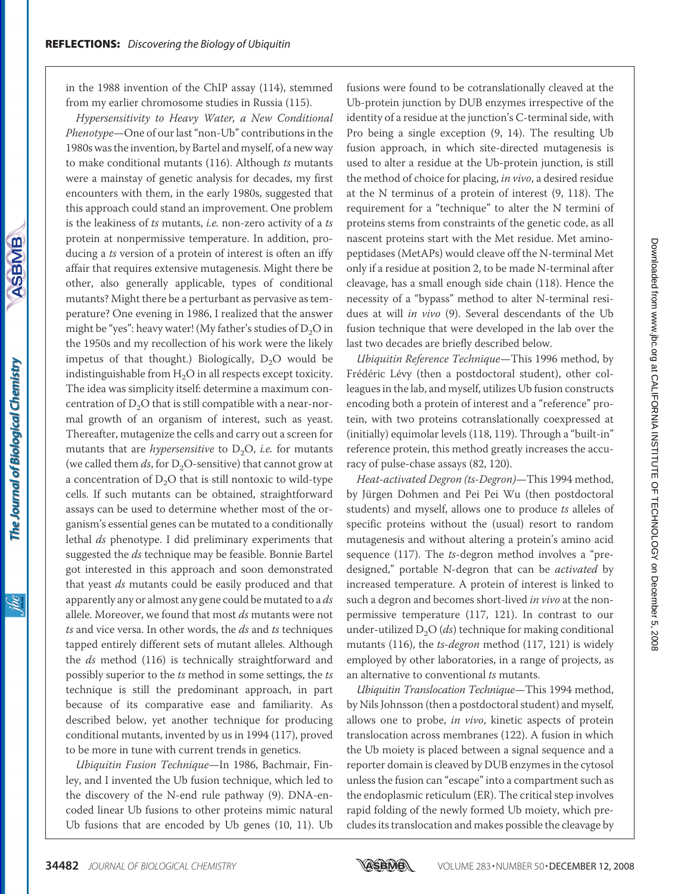in the 1988 invention of the ChIP assay (114), stemmed from my earlier chromosome studies in Russia (115).

*Hypersensitivity to Heavy Water, a New Conditional Phenotype*—One of our last "non-Ub" contributions in the 1980s was the invention, by Bartel and myself, of a new way to make conditional mutants (116). Although *ts* mutants were a mainstay of genetic analysis for decades, my first encounters with them, in the early 1980s, suggested that this approach could stand an improvement. One problem is the leakiness of *ts* mutants, *i.e.* non-zero activity of a *ts* protein at nonpermissive temperature. In addition, producing a *ts* version of a protein of interest is often an iffy affair that requires extensive mutagenesis. Might there be other, also generally applicable, types of conditional mutants? Might there be a perturbant as pervasive as temperature? One evening in 1986, I realized that the answer might be "yes": heavy water! (My father's studies of  $D_2O$  in the 1950s and my recollection of his work were the likely impetus of that thought.) Biologically,  $D_2O$  would be indistinguishable from  $H_2O$  in all respects except toxicity. The idea was simplicity itself: determine a maximum concentration of  $D_2O$  that is still compatible with a near-normal growth of an organism of interest, such as yeast. Thereafter, mutagenize the cells and carry out a screen for mutants that are *hypersensitive* to  $D_2O$ , *i.e.* for mutants (we called them  $ds$ , for  $D_2O$ -sensitive) that cannot grow at a concentration of  $D_2O$  that is still nontoxic to wild-type cells. If such mutants can be obtained, straightforward assays can be used to determine whether most of the organism's essential genes can be mutated to a conditionally lethal *ds* phenotype. I did preliminary experiments that suggested the *ds* technique may be feasible. Bonnie Bartel got interested in this approach and soon demonstrated that yeast *ds* mutants could be easily produced and that apparently any or almost any gene could be mutated to a *ds* allele. Moreover, we found that most *ds* mutants were not *ts* and vice versa. In other words, the *ds* and *ts* techniques tapped entirely different sets of mutant alleles. Although the *ds* method (116) is technically straightforward and possibly superior to the *ts* method in some settings, the *ts* technique is still the predominant approach, in part because of its comparative ease and familiarity. As described below, yet another technique for producing conditional mutants, invented by us in 1994 (117), proved to be more in tune with current trends in genetics.

*Ubiquitin Fusion Technique*—In 1986, Bachmair, Finley, and I invented the Ub fusion technique, which led to the discovery of the N-end rule pathway (9). DNA-encoded linear Ub fusions to other proteins mimic natural Ub fusions that are encoded by Ub genes (10, 11). Ub fusions were found to be cotranslationally cleaved at the Ub-protein junction by DUB enzymes irrespective of the identity of a residue at the junction's C-terminal side, with Pro being a single exception (9, 14). The resulting Ub fusion approach, in which site-directed mutagenesis is used to alter a residue at the Ub-protein junction, is still the method of choice for placing, *in vivo*, a desired residue at the N terminus of a protein of interest (9, 118). The requirement for a "technique" to alter the N termini of proteins stems from constraints of the genetic code, as all nascent proteins start with the Met residue. Met aminopeptidases (MetAPs) would cleave off the N-terminal Met only if a residue at position 2, to be made N-terminal after cleavage, has a small enough side chain (118). Hence the necessity of a "bypass" method to alter N-terminal residues at will *in vivo* (9). Several descendants of the Ub fusion technique that were developed in the lab over the last two decades are briefly described below.

*Ubiquitin Reference Technique*—This 1996 method, by Frédéric Lévy (then a postdoctoral student), other colleagues in the lab, and myself, utilizes Ub fusion constructs encoding both a protein of interest and a "reference" protein, with two proteins cotranslationally coexpressed at (initially) equimolar levels (118, 119). Through a "built-in" reference protein, this method greatly increases the accuracy of pulse-chase assays (82, 120).

*Heat-activated Degron (ts-Degron)*—This 1994 method, by Jürgen Dohmen and Pei Pei Wu (then postdoctoral students) and myself, allows one to produce *ts* alleles of specific proteins without the (usual) resort to random mutagenesis and without altering a protein's amino acid sequence (117). The *ts*-degron method involves a "predesigned," portable N-degron that can be *activated* by increased temperature. A protein of interest is linked to such a degron and becomes short-lived *in vivo* at the nonpermissive temperature (117, 121). In contrast to our under-utilized  $D_2O$  (*ds*) technique for making conditional mutants (116), the *ts-degron* method (117, 121) is widely employed by other laboratories, in a range of projects, as an alternative to conventional *ts* mutants.

*Ubiquitin Translocation Technique*—This 1994 method, by Nils Johnsson (then a postdoctoral student) and myself, allows one to probe, *in vivo*, kinetic aspects of protein translocation across membranes (122). A fusion in which the Ub moiety is placed between a signal sequence and a reporter domain is cleaved by DUB enzymes in the cytosol unless the fusion can "escape" into a compartment such as the endoplasmic reticulum (ER). The critical step involves rapid folding of the newly formed Ub moiety, which precludes its translocation and makes possible the cleavage by

The Journal of Biological Chemistry

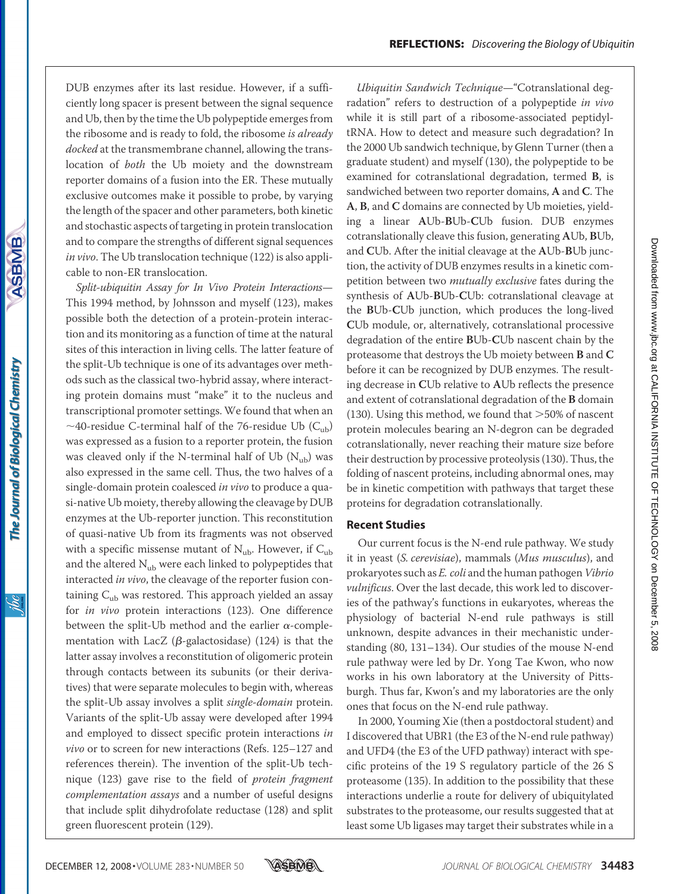ASBMB

DUB enzymes after its last residue. However, if a sufficiently long spacer is present between the signal sequence and Ub, then by the time the Ub polypeptide emerges from the ribosome and is ready to fold, the ribosome *is already docked* at the transmembrane channel, allowing the translocation of *both* the Ub moiety and the downstream reporter domains of a fusion into the ER. These mutually exclusive outcomes make it possible to probe, by varying the length of the spacer and other parameters, both kinetic and stochastic aspects of targeting in protein translocation and to compare the strengths of different signal sequences *in vivo*. The Ub translocation technique (122) is also applicable to non-ER translocation.

*Split-ubiquitin Assay for In Vivo Protein Interactions*— This 1994 method, by Johnsson and myself (123), makes possible both the detection of a protein-protein interaction and its monitoring as a function of time at the natural sites of this interaction in living cells. The latter feature of the split-Ub technique is one of its advantages over methods such as the classical two-hybrid assay, where interacting protein domains must "make" it to the nucleus and transcriptional promoter settings. We found that when an ~40-residue C-terminal half of the 76-residue Ub ( $C_{ub}$ ) was expressed as a fusion to a reporter protein, the fusion was cleaved only if the N-terminal half of Ub  $(N_{ub})$  was also expressed in the same cell. Thus, the two halves of a single-domain protein coalesced *in vivo* to produce a quasi-native Ub moiety, thereby allowing the cleavage by DUB enzymes at the Ub-reporter junction. This reconstitution of quasi-native Ub from its fragments was not observed with a specific missense mutant of  $N_{ub}$ . However, if  $C_{ub}$ and the altered  $N_{ub}$  were each linked to polypeptides that interacted *in vivo*, the cleavage of the reporter fusion containing  $C_{ub}$  was restored. This approach yielded an assay for *in vivo* protein interactions (123). One difference between the split-Ub method and the earlier  $\alpha$ -complementation with LacZ ( $\beta$ -galactosidase) (124) is that the latter assay involves a reconstitution of oligomeric protein through contacts between its subunits (or their derivatives) that were separate molecules to begin with, whereas the split-Ub assay involves a split *single-domain* protein. Variants of the split-Ub assay were developed after 1994 and employed to dissect specific protein interactions *in vivo* or to screen for new interactions (Refs. 125–127 and references therein). The invention of the split-Ub technique (123) gave rise to the field of *protein fragment complementation assays* and a number of useful designs that include split dihydrofolate reductase (128) and split green fluorescent protein (129).

*Ubiquitin Sandwich Technique*—"Cotranslational degradation" refers to destruction of a polypeptide *in vivo* while it is still part of a ribosome-associated peptidyltRNA. How to detect and measure such degradation? In the 2000 Ub sandwich technique, by Glenn Turner (then a graduate student) and myself (130), the polypeptide to be examined for cotranslational degradation, termed **B**, is sandwiched between two reporter domains, **A** and **C**. The **A**, **B**, and **C** domains are connected by Ub moieties, yielding a linear **A**Ub-**B**Ub-**C**Ub fusion. DUB enzymes cotranslationally cleave this fusion, generating **A**Ub, **B**Ub, and **C**Ub. After the initial cleavage at the **A**Ub-**B**Ub junction, the activity of DUB enzymes results in a kinetic competition between two *mutually exclusive* fates during the synthesis of **A**Ub-**B**Ub-**C**Ub: cotranslational cleavage at the **B**Ub-**C**Ub junction, which produces the long-lived **C**Ub module, or, alternatively, cotranslational processive degradation of the entire **B**Ub-**C**Ub nascent chain by the proteasome that destroys the Ub moiety between **B** and **C** before it can be recognized by DUB enzymes. The resulting decrease in **C**Ub relative to **A**Ub reflects the presence and extent of cotranslational degradation of the **B** domain (130). Using this method, we found that  $>50\%$  of nascent protein molecules bearing an N-degron can be degraded cotranslationally, never reaching their mature size before their destruction by processive proteolysis (130). Thus, the folding of nascent proteins, including abnormal ones, may be in kinetic competition with pathways that target these proteins for degradation cotranslationally.

#### **Recent Studies**

Our current focus is the N-end rule pathway. We study it in yeast (*S. cerevisiae*), mammals (*Mus musculus*), and prokaryotes such as *E. coli* and the human pathogen*Vibrio vulnificus*. Over the last decade, this work led to discoveries of the pathway's functions in eukaryotes, whereas the physiology of bacterial N-end rule pathways is still unknown, despite advances in their mechanistic understanding (80, 131–134). Our studies of the mouse N-end rule pathway were led by Dr. Yong Tae Kwon, who now works in his own laboratory at the University of Pittsburgh. Thus far, Kwon's and my laboratories are the only ones that focus on the N-end rule pathway.

In 2000, Youming Xie (then a postdoctoral student) and I discovered that UBR1 (the E3 of the N-end rule pathway) and UFD4 (the E3 of the UFD pathway) interact with specific proteins of the 19 S regulatory particle of the 26 S proteasome (135). In addition to the possibility that these interactions underlie a route for delivery of ubiquitylated substrates to the proteasome, our results suggested that at least some Ub ligases may target their substrates while in a

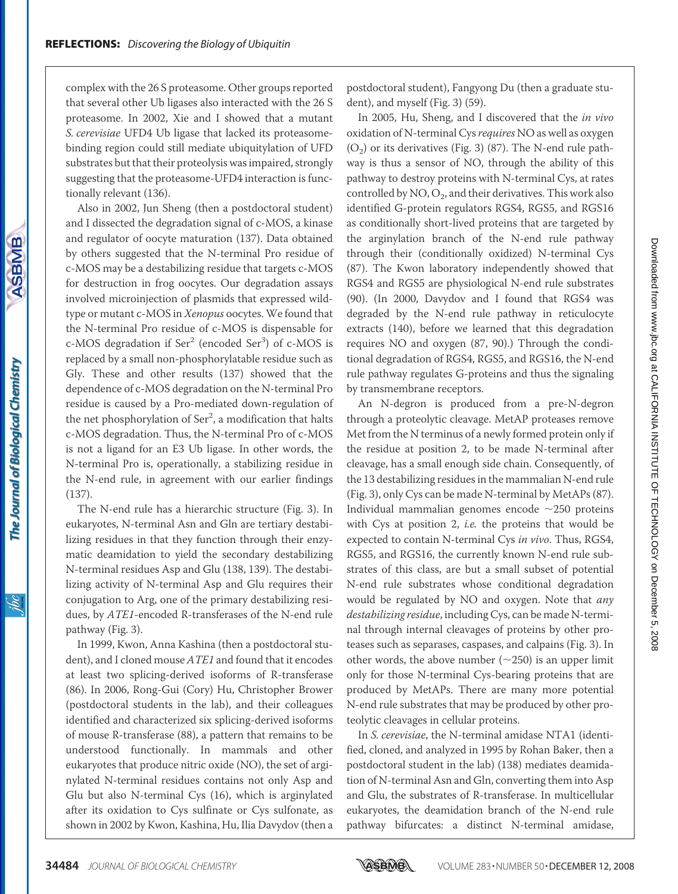ASBMB

The Journal of Biological Chemistry

complex with the 26 S proteasome. Other groups reported that several other Ub ligases also interacted with the 26 S proteasome. In 2002, Xie and I showed that a mutant *S. cerevisiae* UFD4 Ub ligase that lacked its proteasomebinding region could still mediate ubiquitylation of UFD substrates but that their proteolysis was impaired, strongly suggesting that the proteasome-UFD4 interaction is functionally relevant (136).

Also in 2002, Jun Sheng (then a postdoctoral student) and I dissected the degradation signal of c-MOS, a kinase and regulator of oocyte maturation (137). Data obtained by others suggested that the N-terminal Pro residue of c-MOS may be a destabilizing residue that targets c-MOS for destruction in frog oocytes. Our degradation assays involved microinjection of plasmids that expressed wildtype or mutant c-MOS in *Xenopus* oocytes. We found that the N-terminal Pro residue of c-MOS is dispensable for c-MOS degradation if Ser<sup>2</sup> (encoded Ser<sup>3</sup>) of c-MOS is replaced by a small non-phosphorylatable residue such as Gly. These and other results (137) showed that the dependence of c-MOS degradation on the N-terminal Pro residue is caused by a Pro-mediated down-regulation of the net phosphorylation of Ser<sup>2</sup>, a modification that halts c-MOS degradation. Thus, the N-terminal Pro of c-MOS is not a ligand for an E3 Ub ligase. In other words, the N-terminal Pro is, operationally, a stabilizing residue in the N-end rule, in agreement with our earlier findings (137).

The N-end rule has a hierarchic structure (Fig. 3). In eukaryotes, N-terminal Asn and Gln are tertiary destabilizing residues in that they function through their enzymatic deamidation to yield the secondary destabilizing N-terminal residues Asp and Glu (138, 139). The destabilizing activity of N-terminal Asp and Glu requires their conjugation to Arg, one of the primary destabilizing residues, by *ATE1*-encoded R-transferases of the N-end rule pathway (Fig. 3).

In 1999, Kwon, Anna Kashina (then a postdoctoral student), and I cloned mouse *ATE1* and found that it encodes at least two splicing-derived isoforms of R-transferase (86). In 2006, Rong-Gui (Cory) Hu, Christopher Brower (postdoctoral students in the lab), and their colleagues identified and characterized six splicing-derived isoforms of mouse R-transferase (88), a pattern that remains to be understood functionally. In mammals and other eukaryotes that produce nitric oxide (NO), the set of arginylated N-terminal residues contains not only Asp and Glu but also N-terminal Cys (16), which is arginylated after its oxidation to Cys sulfinate or Cys sulfonate, as shown in 2002 by Kwon, Kashina, Hu, Ilia Davydov (then a

postdoctoral student), Fangyong Du (then a graduate student), and myself (Fig. 3) (59).

In 2005, Hu, Sheng, and I discovered that the *in vivo* oxidation of N-terminal Cys*requires* NO as well as oxygen  $(O<sub>2</sub>)$  or its derivatives (Fig. 3) (87). The N-end rule pathway is thus a sensor of NO, through the ability of this pathway to destroy proteins with N-terminal Cys, at rates controlled by NO,  $O_2$ , and their derivatives. This work also identified G-protein regulators RGS4, RGS5, and RGS16 as conditionally short-lived proteins that are targeted by the arginylation branch of the N-end rule pathway through their (conditionally oxidized) N-terminal Cys (87). The Kwon laboratory independently showed that RGS4 and RGS5 are physiological N-end rule substrates (90). (In 2000, Davydov and I found that RGS4 was degraded by the N-end rule pathway in reticulocyte extracts (140), before we learned that this degradation requires NO and oxygen (87, 90).) Through the conditional degradation of RGS4, RGS5, and RGS16, the N-end rule pathway regulates G-proteins and thus the signaling by transmembrane receptors.

An N-degron is produced from a pre-N-degron through a proteolytic cleavage. MetAP proteases remove Met from the N terminus of a newly formed protein only if the residue at position 2, to be made N-terminal after cleavage, has a small enough side chain. Consequently, of the 13 destabilizing residues in the mammalian N-end rule (Fig. 3), only Cys can be made N-terminal by MetAPs (87). Individual mammalian genomes encode  $\sim$ 250 proteins with Cys at position 2, *i.e.* the proteins that would be expected to contain N-terminal Cys *in vivo*. Thus, RGS4, RGS5, and RGS16, the currently known N-end rule substrates of this class, are but a small subset of potential N-end rule substrates whose conditional degradation would be regulated by NO and oxygen. Note that *any destabilizing residue*, including Cys, can be made N-terminal through internal cleavages of proteins by other proteases such as separases, caspases, and calpains (Fig. 3). In other words, the above number  $(\sim 250)$  is an upper limit only for those N-terminal Cys-bearing proteins that are produced by MetAPs. There are many more potential N-end rule substrates that may be produced by other proteolytic cleavages in cellular proteins.

In *S. cerevisiae*, the N-terminal amidase NTA1 (identified, cloned, and analyzed in 1995 by Rohan Baker, then a postdoctoral student in the lab) (138) mediates deamidation of N-terminal Asn and Gln, converting them into Asp and Glu, the substrates of R-transferase. In multicellular eukaryotes, the deamidation branch of the N-end rule pathway bifurcates: a distinct N-terminal amidase,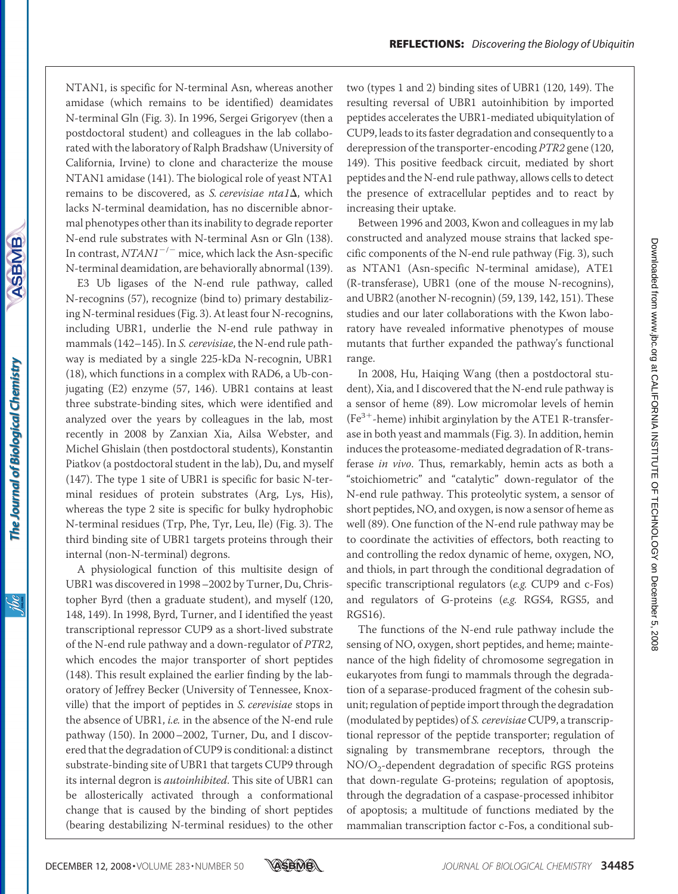NTAN1, is specific for N-terminal Asn, whereas another amidase (which remains to be identified) deamidates N-terminal Gln (Fig. 3). In 1996, Sergei Grigoryev (then a postdoctoral student) and colleagues in the lab collaborated with the laboratory of Ralph Bradshaw (University of California, Irvine) to clone and characterize the mouse NTAN1 amidase (141). The biological role of yeast NTA1 remains to be discovered, as *S. cerevisiae nta1*, which lacks N-terminal deamidation, has no discernible abnormal phenotypes other than its inability to degrade reporter N-end rule substrates with N-terminal Asn or Gln (138). In contrast,  $NTAN1^{-/-}$  mice, which lack the Asn-specific N-terminal deamidation, are behaviorally abnormal (139).

E3 Ub ligases of the N-end rule pathway, called N-recognins (57), recognize (bind to) primary destabilizing N-terminal residues (Fig. 3). At least four N-recognins, including UBR1, underlie the N-end rule pathway in mammals (142–145). In *S. cerevisiae*, the N-end rule pathway is mediated by a single 225-kDa N-recognin, UBR1 (18), which functions in a complex with RAD6, a Ub-conjugating (E2) enzyme (57, 146). UBR1 contains at least three substrate-binding sites, which were identified and analyzed over the years by colleagues in the lab, most recently in 2008 by Zanxian Xia, Ailsa Webster, and Michel Ghislain (then postdoctoral students), Konstantin Piatkov (a postdoctoral student in the lab), Du, and myself (147). The type 1 site of UBR1 is specific for basic N-terminal residues of protein substrates (Arg, Lys, His), whereas the type 2 site is specific for bulky hydrophobic N-terminal residues (Trp, Phe, Tyr, Leu, Ile) (Fig. 3). The third binding site of UBR1 targets proteins through their internal (non-N-terminal) degrons.

A physiological function of this multisite design of UBR1 was discovered in 1998–2002 by Turner, Du, Christopher Byrd (then a graduate student), and myself (120, 148, 149). In 1998, Byrd, Turner, and I identified the yeast transcriptional repressor CUP9 as a short-lived substrate of the N-end rule pathway and a down-regulator of *PTR2*, which encodes the major transporter of short peptides (148). This result explained the earlier finding by the laboratory of Jeffrey Becker (University of Tennessee, Knoxville) that the import of peptides in *S. cerevisiae* stops in the absence of UBR1, *i.e.* in the absence of the N-end rule pathway (150). In 2000–2002, Turner, Du, and I discovered that the degradation of CUP9 is conditional: a distinct substrate-binding site of UBR1 that targets CUP9 through its internal degron is *autoinhibited*. This site of UBR1 can be allosterically activated through a conformational change that is caused by the binding of short peptides (bearing destabilizing N-terminal residues) to the other

two (types 1 and 2) binding sites of UBR1 (120, 149). The resulting reversal of UBR1 autoinhibition by imported peptides accelerates the UBR1-mediated ubiquitylation of CUP9, leads to its faster degradation and consequently to a derepression of the transporter-encoding *PTR2* gene (120, 149). This positive feedback circuit, mediated by short peptides and the N-end rule pathway, allows cells to detect the presence of extracellular peptides and to react by increasing their uptake.

Between 1996 and 2003, Kwon and colleagues in my lab constructed and analyzed mouse strains that lacked specific components of the N-end rule pathway (Fig. 3), such as NTAN1 (Asn-specific N-terminal amidase), ATE1 (R-transferase), UBR1 (one of the mouse N-recognins), and UBR2 (another N-recognin) (59, 139, 142, 151). These studies and our later collaborations with the Kwon laboratory have revealed informative phenotypes of mouse mutants that further expanded the pathway's functional range.

In 2008, Hu, Haiqing Wang (then a postdoctoral student), Xia, and I discovered that the N-end rule pathway is a sensor of heme (89). Low micromolar levels of hemin ( $Fe<sup>3+</sup>$ -heme) inhibit arginylation by the ATE1 R-transferase in both yeast and mammals (Fig. 3). In addition, hemin induces the proteasome-mediated degradation of R-transferase *in vivo*. Thus, remarkably, hemin acts as both a "stoichiometric" and "catalytic" down-regulator of the N-end rule pathway. This proteolytic system, a sensor of short peptides, NO, and oxygen, is now a sensor of heme as well (89). One function of the N-end rule pathway may be to coordinate the activities of effectors, both reacting to and controlling the redox dynamic of heme, oxygen, NO, and thiols, in part through the conditional degradation of specific transcriptional regulators (*e.g.* CUP9 and c-Fos) and regulators of G-proteins (*e.g.* RGS4, RGS5, and RGS16).

The functions of the N-end rule pathway include the sensing of NO, oxygen, short peptides, and heme; maintenance of the high fidelity of chromosome segregation in eukaryotes from fungi to mammals through the degradation of a separase-produced fragment of the cohesin subunit; regulation of peptide import through the degradation (modulated by peptides) of *S. cerevisiae*CUP9, a transcriptional repressor of the peptide transporter; regulation of signaling by transmembrane receptors, through the  $NO/O<sub>2</sub>$ -dependent degradation of specific RGS proteins that down-regulate G-proteins; regulation of apoptosis, through the degradation of a caspase-processed inhibitor of apoptosis; a multitude of functions mediated by the mammalian transcription factor c-Fos, a conditional sub-

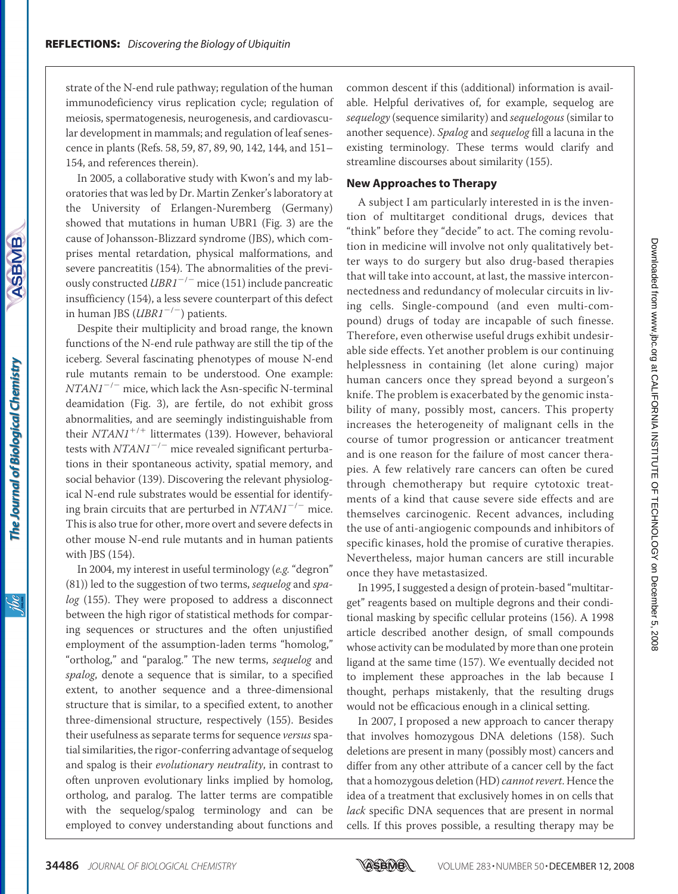strate of the N-end rule pathway; regulation of the human immunodeficiency virus replication cycle; regulation of meiosis, spermatogenesis, neurogenesis, and cardiovascular development in mammals; and regulation of leaf senescence in plants (Refs. 58, 59, 87, 89, 90, 142, 144, and 151– 154, and references therein).

In 2005, a collaborative study with Kwon's and my laboratories that was led by Dr. Martin Zenker's laboratory at the University of Erlangen-Nuremberg (Germany) showed that mutations in human UBR1 (Fig. 3) are the cause of Johansson-Blizzard syndrome (JBS), which comprises mental retardation, physical malformations, and severe pancreatitis (154). The abnormalities of the previously constructed *UBR1<sup>-/-</sup>* mice (151) include pancreatic insufficiency (154), a less severe counterpart of this defect in human JBS  $(UBR1^{-/-})$  patients.

Despite their multiplicity and broad range, the known functions of the N-end rule pathway are still the tip of the iceberg. Several fascinating phenotypes of mouse N-end rule mutants remain to be understood. One example:  $NTANI^{-/-}$  mice, which lack the Asn-specific N-terminal deamidation (Fig. 3), are fertile, do not exhibit gross abnormalities, and are seemingly indistinguishable from their  $NTANI^{+/+}$  littermates (139). However, behavioral tests with  $NTANI^{-/-}$  mice revealed significant perturbations in their spontaneous activity, spatial memory, and social behavior (139). Discovering the relevant physiological N-end rule substrates would be essential for identifying brain circuits that are perturbed in  $NTAN1^{-/-}$  mice. This is also true for other, more overt and severe defects in other mouse N-end rule mutants and in human patients with JBS (154).

In 2004, my interest in useful terminology (*e.g.* "degron" (81)) led to the suggestion of two terms, *sequelog* and *spalog* (155). They were proposed to address a disconnect between the high rigor of statistical methods for comparing sequences or structures and the often unjustified employment of the assumption-laden terms "homolog," "ortholog," and "paralog." The new terms, *sequelog* and *spalog*, denote a sequence that is similar, to a specified extent, to another sequence and a three-dimensional structure that is similar, to a specified extent, to another three-dimensional structure, respectively (155). Besides their usefulness as separate terms for sequence *versus*spatial similarities, the rigor-conferring advantage of sequelog and spalog is their *evolutionary neutrality*, in contrast to often unproven evolutionary links implied by homolog, ortholog, and paralog. The latter terms are compatible with the sequelog/spalog terminology and can be employed to convey understanding about functions and

common descent if this (additional) information is available. Helpful derivatives of, for example, sequelog are *sequelogy* (sequence similarity) and *sequelogous* (similar to another sequence). *Spalog* and *sequelog* fill a lacuna in the existing terminology. These terms would clarify and streamline discourses about similarity (155).

## **New Approaches to Therapy**

A subject I am particularly interested in is the invention of multitarget conditional drugs, devices that "think" before they "decide" to act. The coming revolution in medicine will involve not only qualitatively better ways to do surgery but also drug-based therapies that will take into account, at last, the massive interconnectedness and redundancy of molecular circuits in living cells. Single-compound (and even multi-compound) drugs of today are incapable of such finesse. Therefore, even otherwise useful drugs exhibit undesirable side effects. Yet another problem is our continuing helplessness in containing (let alone curing) major human cancers once they spread beyond a surgeon's knife. The problem is exacerbated by the genomic instability of many, possibly most, cancers. This property increases the heterogeneity of malignant cells in the course of tumor progression or anticancer treatment and is one reason for the failure of most cancer therapies. A few relatively rare cancers can often be cured through chemotherapy but require cytotoxic treatments of a kind that cause severe side effects and are themselves carcinogenic. Recent advances, including the use of anti-angiogenic compounds and inhibitors of specific kinases, hold the promise of curative therapies. Nevertheless, major human cancers are still incurable once they have metastasized.

In 1995, I suggested a design of protein-based "multitarget" reagents based on multiple degrons and their conditional masking by specific cellular proteins (156). A 1998 article described another design, of small compounds whose activity can be modulated by more than one protein ligand at the same time (157). We eventually decided not to implement these approaches in the lab because I thought, perhaps mistakenly, that the resulting drugs would not be efficacious enough in a clinical setting.

In 2007, I proposed a new approach to cancer therapy that involves homozygous DNA deletions (158). Such deletions are present in many (possibly most) cancers and differ from any other attribute of a cancer cell by the fact that a homozygous deletion (HD) *cannot revert*. Hence the idea of a treatment that exclusively homes in on cells that *lack* specific DNA sequences that are present in normal cells. If this proves possible, a resulting therapy may be

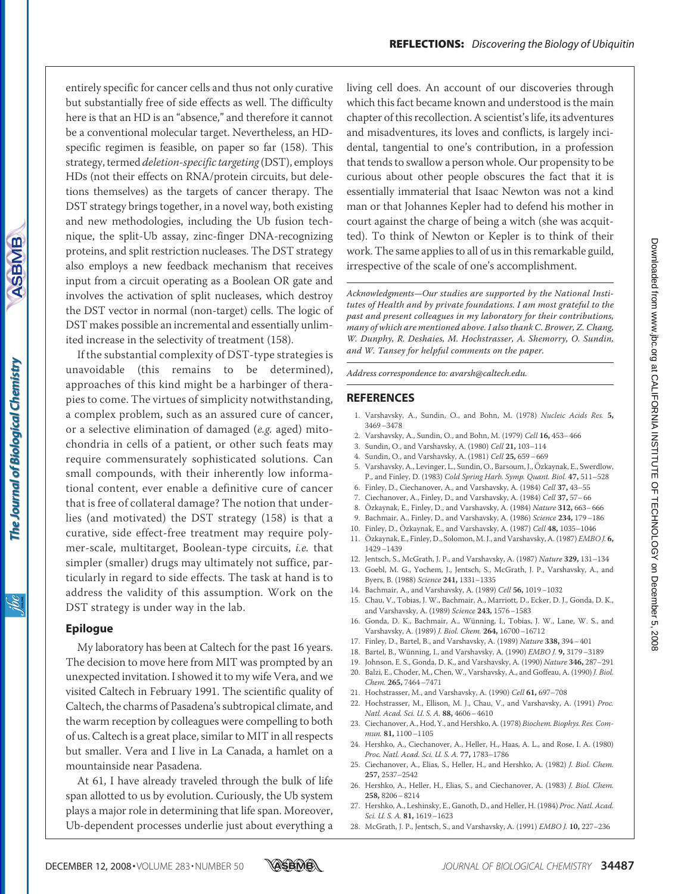entirely specific for cancer cells and thus not only curative but substantially free of side effects as well. The difficulty here is that an HD is an "absence," and therefore it cannot be a conventional molecular target. Nevertheless, an HDspecific regimen is feasible, on paper so far (158). This strategy, termed *deletion-specific targeting* (DST), employs HDs (not their effects on RNA/protein circuits, but deletions themselves) as the targets of cancer therapy. The DST strategy brings together, in a novel way, both existing and new methodologies, including the Ub fusion technique, the split-Ub assay, zinc-finger DNA-recognizing proteins, and split restriction nucleases. The DST strategy also employs a new feedback mechanism that receives input from a circuit operating as a Boolean OR gate and involves the activation of split nucleases, which destroy the DST vector in normal (non-target) cells. The logic of DST makes possible an incremental and essentially unlimited increase in the selectivity of treatment (158).

If the substantial complexity of DST-type strategies is unavoidable (this remains to be determined), approaches of this kind might be a harbinger of therapies to come. The virtues of simplicity notwithstanding, a complex problem, such as an assured cure of cancer, or a selective elimination of damaged (*e.g.* aged) mitochondria in cells of a patient, or other such feats may require commensurately sophisticated solutions. Can small compounds, with their inherently low informational content, ever enable a definitive cure of cancer that is free of collateral damage? The notion that underlies (and motivated) the DST strategy (158) is that a curative, side effect-free treatment may require polymer-scale, multitarget, Boolean-type circuits, *i.e.* that simpler (smaller) drugs may ultimately not suffice, particularly in regard to side effects. The task at hand is to address the validity of this assumption. Work on the DST strategy is under way in the lab.

#### **Epilogue**

**SBMB** 

The Journal of Biological Chemistry

<u>ж</u>

My laboratory has been at Caltech for the past 16 years. The decision to move here from MIT was prompted by an unexpected invitation. I showed it to my wife Vera, and we visited Caltech in February 1991. The scientific quality of Caltech, the charms of Pasadena's subtropical climate, and the warm reception by colleagues were compelling to both of us. Caltech is a great place, similar to MIT in all respects but smaller. Vera and I live in La Canada, a hamlet on a mountainside near Pasadena.

At 61, I have already traveled through the bulk of life span allotted to us by evolution. Curiously, the Ub system plays a major role in determining that life span. Moreover, Ub-dependent processes underlie just about everything a

living cell does. An account of our discoveries through which this fact became known and understood is the main chapter of this recollection. A scientist's life, its adventures and misadventures, its loves and conflicts, is largely incidental, tangential to one's contribution, in a profession that tends to swallow a person whole. Our propensity to be curious about other people obscures the fact that it is essentially immaterial that Isaac Newton was not a kind man or that Johannes Kepler had to defend his mother in court against the charge of being a witch (she was acquitted). To think of Newton or Kepler is to think of their work. The same applies to all of us in this remarkable guild, irrespective of the scale of one's accomplishment.

*Acknowledgments—Our studies are supported by the National Institutes of Health and by private foundations. I am most grateful to the past and present colleagues in my laboratory for their contributions, many of which are mentioned above. I also thank C. Brower, Z. Chang, W. Dunphy, R. Deshaies, M. Hochstrasser, A. Shemorry, O. Sundin, and W. Tansey for helpful comments on the paper.*

*Address correspondence to: avarsh@caltech.edu.*

#### **REFERENCES**

- 1. Varshavsky, A., Sundin, O., and Bohn, M. (1978) *Nucleic Acids Res.* **5,** 3469–3478
- 2. Varshavsky, A., Sundin, O., and Bohn, M. (1979) *Cell* **16,** 453–466
- 3. Sundin, O., and Varshavsky, A. (1980) *Cell* **21,** 103–114
- 4. Sundin, O., and Varshavsky, A. (1981) *Cell* **25,** 659–669
- 5. Varshavsky, A., Levinger, L., Sundin, O., Barsoum, J., Özkaynak, E., Swerdlow, P., and Finley, D. (1983) *Cold Spring Harb. Symp. Quant. Biol.* **47,** 511–528
- 6. Finley, D., Ciechanover, A., and Varshavsky, A. (1984) *Cell* **37,** 43–55
- 7. Ciechanover, A., Finley, D., and Varshavsky, A. (1984) *Cell* **37,** 57–66
- 8. Özkaynak, E., Finley, D., and Varshavsky, A. (1984) *Nature* 312, 663-666
- 9. Bachmair, A., Finley, D., and Varshavsky, A. (1986) *Science* **234,** 179–186 10. Finley, D., O¨ zkaynak, E., and Varshavsky, A. (1987) *Cell* **48,** 1035–1046
- 11. Özkaynak, E., Finley, D., Solomon, M. J., and Varshavsky, A. (1987) *EMBO J.* 6, 1429–1439
- 12. Jentsch, S., McGrath, J. P., and Varshavsky, A. (1987) *Nature* **329,** 131–134
- 13. Goebl, M. G., Yochem, J., Jentsch, S., McGrath, J. P., Varshavsky, A., and
- Byers, B. (1988) *Science* **241,** 1331–1335 14. Bachmair, A., and Varshavsky, A. (1989) *Cell* **56,** 1019–1032
- 15. Chau, V., Tobias, J. W., Bachmair, A., Marriott, D., Ecker, D. J., Gonda, D. K., and Varshavsky, A. (1989) *Science* **243,** 1576–1583
- 16. Gonda, D. K., Bachmair, A., Wünning, I., Tobias, J. W., Lane, W. S., and Varshavsky, A. (1989) *J. Biol. Chem.* **264,** 16700–16712
- 17. Finley, D., Bartel, B., and Varshavsky, A. (1989) *Nature* **338,** 394–401
- 18. Bartel, B., Wünning, I., and Varshavsky, A. (1990) *EMBO J*. **9**, 3179-3189
- 19. Johnson, E. S., Gonda, D. K., and Varshavsky, A. (1990) *Nature* **346,** 287–291
- 20. Balzi, E., Choder, M., Chen, W., Varshavsky, A., and Goffeau, A. (1990) *J. Biol. Chem.* **265,** 7464–7471
- 21. Hochstrasser, M., and Varshavsky, A. (1990) *Cell* **61,** 697–708
- 22. Hochstrasser, M., Ellison, M. J., Chau, V., and Varshavsky, A. (1991) *Proc. Natl. Acad. Sci. U. S. A.* **88,** 4606–4610
- 23. Ciechanover, A., Hod, Y., and Hershko, A. (1978) *Biochem. Biophys. Res. Commun.* **81,** 1100–1105
- 24. Hershko, A., Ciechanover, A., Heller, H., Haas, A. L., and Rose, I. A. (1980) *Proc. Natl. Acad. Sci. U. S. A.* **77,** 1783–1786
- 25. Ciechanover, A., Elias, S., Heller, H., and Hershko, A. (1982) *J. Biol. Chem.* **257,** 2537–2542
- 26. Hershko, A., Heller, H., Elias, S., and Ciechanover, A. (1983) *J. Biol. Chem.* **258,** 8206–8214
- 27. Hershko, A., Leshinsky, E., Ganoth, D., and Heller, H. (1984) *Proc. Natl. Acad. Sci. U. S. A.* **81,** 1619–1623
- 28. McGrath, J. P., Jentsch, S., and Varshavsky, A. (1991) *EMBO J.* **10,** 227–236

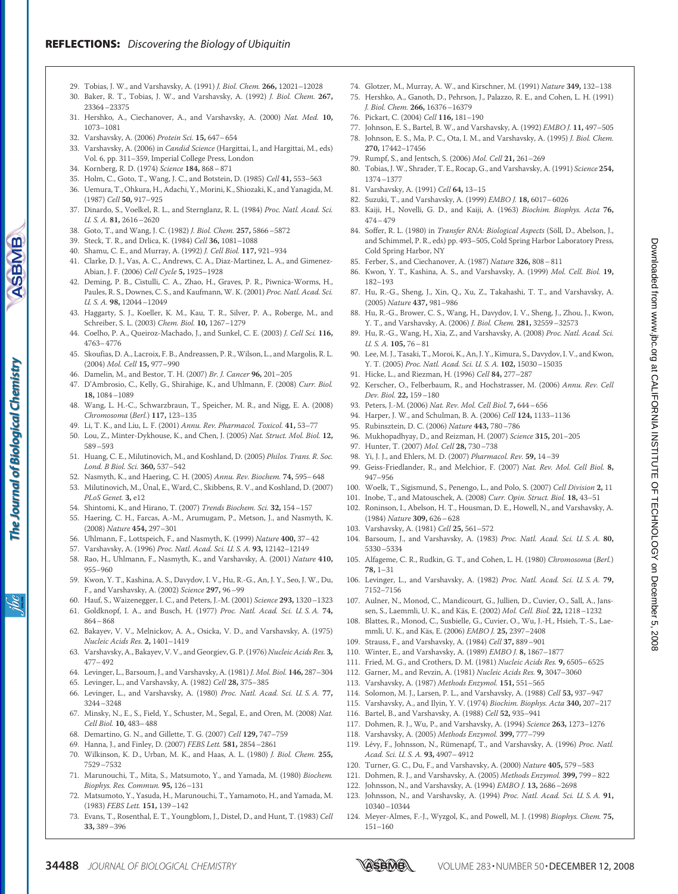- 29. Tobias, J. W., and Varshavsky, A. (1991) *J. Biol. Chem.* **266,** 12021–12028
- 30. Baker, R. T., Tobias, J. W., and Varshavsky, A. (1992) *J. Biol. Chem.* **267,** 23364–23375
- 31. Hershko, A., Ciechanover, A., and Varshavsky, A. (2000) *Nat. Med.* **10,** 1073–1081
- 32. Varshavsky, A. (2006) *Protein Sci.* **15,** 647–654
- 33. Varshavsky, A. (2006) in *Candid Science* (Hargittai, I., and Hargittai, M., eds) Vol. 6, pp. 311–359, Imperial College Press, London
- 34. Kornberg, R. D. (1974) *Science* **184,** 868–871
- 35. Holm, C., Goto, T., Wang, J. C., and Botstein, D. (1985) *Cell* **41,** 553–563
- 36. Uemura, T., Ohkura, H., Adachi, Y., Morini, K., Shiozaki, K., and Yanagida, M. (1987) *Cell* **50,** 917–925
- 37. Dinardo, S., Voelkel, R. L., and Sternglanz, R. L. (1984) *Proc. Natl. Acad. Sci. U. S. A.* **81,** 2616–2620
- 38. Goto, T., and Wang, J. C. (1982) *J. Biol. Chem.* **257,** 5866–5872
- 39. Steck, T. R., and Drlica, K. (1984) *Cell* **36,** 1081–1088

**SBMB** 

The Journal of Biological Chemistry

<u>isi</u>

- 40. Shamu, C. E., and Murray, A. (1992) *J. Cell Biol.* **117,** 921–934
- 41. Clarke, D. J., Vas, A. C., Andrews, C. A., Diaz-Martinez, L. A., and Gimenez-Abian, J. F. (2006) *Cell Cycle* **5,** 1925–1928
- 42. Deming, P. B., Cistulli, C. A., Zhao, H., Graves, P. R., Piwnica-Worms, H., Paules, R. S., Downes, C. S., and Kaufmann, W. K. (2001) *Proc. Natl. Acad. Sci. U. S. A.* **98,** 12044–12049
- 43. Haggarty, S. J., Koeller, K. M., Kau, T. R., Silver, P. A., Roberge, M., and Schreiber, S. L. (2003) *Chem. Biol.* **10,** 1267–1279
- 44. Coelho, P. A., Queiroz-Machado, J., and Sunkel, C. E. (2003) *J. Cell Sci.* **116,** 4763–4776
- 45. Skoufias, D. A., Lacroix, F. B., Andreassen, P. R.,Wilson, L., and Margolis, R. L. (2004) *Mol. Cell* **15,** 977–990
- 46. Damelin, M., and Bestor, T. H. (2007) *Br. J. Cancer* **96,** 201–205
- 47. D'Ambrosio, C., Kelly, G., Shirahige, K., and Uhlmann, F. (2008) *Curr. Biol.*
- **18,** 1084–1089 48. Wang, L. H.-C., Schwarzbraun, T., Speicher, M. R., and Nigg, E. A. (2008) *Chromosoma* (*Berl.*) **117,** 123–135
- 49. Li, T. K., and Liu, L. F. (2001) *Annu. Rev. Pharmacol. Toxicol.* **41,** 53–77
- 50. Lou, Z., Minter-Dykhouse, K., and Chen, J. (2005) *Nat. Struct. Mol. Biol.* **12,** 589–593
- 51. Huang, C. E., Milutinovich, M., and Koshland, D. (2005) *Philos. Trans. R. Soc. Lond. B Biol. Sci.* **360,** 537–542
- 52. Nasmyth, K., and Haering, C. H. (2005) *Annu. Rev. Biochem.* **74,** 595–648
- 53. Milutinovich, M., Ünal, E., Ward, C., Skibbens, R. V., and Koshland, D. (2007) *PLoS Genet.* **3,** e12
- 54. Shintomi, K., and Hirano, T. (2007) *Trends Biochem. Sci.* **32,** 154–157
- Haering, C. H., Farcas, A.-M., Arumugam, P., Metson, J., and Nasmyth, K. (2008) *Nature* **454,** 297–301
- 56. Uhlmann, F., Lottspeich, F., and Nasmyth, K. (1999) *Nature* **400,** 37–42
- 57. Varshavsky, A. (1996) *Proc. Natl. Acad. Sci. U. S. A.* **93,** 12142–12149
- 58. Rao, H., Uhlmann, F., Nasmyth, K., and Varshavsky, A. (2001) *Nature* **410,** 955–960
- 59. Kwon, Y. T., Kashina, A. S., Davydov, I. V., Hu, R.-G., An, J. Y., Seo, J. W., Du, F., and Varshavsky, A. (2002) *Science* **297,** 96–99
- 60. Hauf, S., Waizenegger, I. C., and Peters, J.-M. (2001) *Science* **293,** 1320–1323
- 61. Goldknopf, I. A., and Busch, H. (1977) *Proc. Natl. Acad. Sci. U. S. A.* **74,** 864–868
- 62. Bakayev, V. V., Melnickov, A. A., Osicka, V. D., and Varshavsky, A. (1975) *Nucleic Acids Res.* **2,** 1401–1419
- 63. Varshavsky, A., Bakayev, V. V., and Georgiev, G. P. (1976) *Nucleic Acids Res.* **3,** 477–492
- 64. Levinger, L., Barsoum, J., and Varshavsky, A. (1981) *J. Mol. Biol.* **146,** 287–304
- 65. Levinger, L., and Varshavsky, A. (1982) *Cell* **28,** 375–385
- 66. Levinger, L., and Varshavsky, A. (1980) *Proc. Natl. Acad. Sci. U. S. A.* **77,** 3244–3248
- 67. Minsky, N., E., S., Field, Y., Schuster, M., Segal, E., and Oren, M. (2008) *Nat. Cell Biol.* **10,** 483–488
- 68. Demartino, G. N., and Gillette, T. G. (2007) *Cell* **129,** 747–759
- 69. Hanna, J., and Finley, D. (2007) *FEBS Lett.* **581,** 2854–2861
- 70. Wilkinson, K. D., Urban, M. K., and Haas, A. L. (1980) *J. Biol. Chem.* **255,** 7529–7532
- 71. Marunouchi, T., Mita, S., Matsumoto, Y., and Yamada, M. (1980) *Biochem. Biophys. Res. Commun.* **95,** 126–131
- 72. Matsumoto, Y., Yasuda, H., Marunouchi, T., Yamamoto, H., and Yamada, M. (1983) *FEBS Lett.* **151,** 139–142
- 73. Evans, T., Rosenthal, E. T., Youngblom, J., Distel, D., and Hunt, T. (1983) *Cell* **33,** 389–396
- 74. Glotzer, M., Murray, A. W., and Kirschner, M. (1991) *Nature* **349,** 132–138 75. Hershko, A., Ganoth, D., Pehrson, J., Palazzo, R. E., and Cohen, L. H. (1991)
- *J. Biol. Chem.* **266,** 16376–16379 76. Pickart, C. (2004) *Cell* **116,** 181–190
- 
- 77. Johnson, E. S., Bartel, B. W., and Varshavsky, A. (1992) *EMBO J.* **11,** 497–505 78. Johnson, E. S., Ma, P. C., Ota, I. M., and Varshavsky, A. (1995) *J. Biol. Chem.* **270,** 17442–17456
- 79. Rumpf, S., and Jentsch, S. (2006) *Mol. Cell* **21,** 261–269
- 80. Tobias, J.W., Shrader, T. E., Rocap, G., and Varshavsky, A. (1991) *Science* **254,** 1374–1377
- 81. Varshavsky, A. (1991) *Cell* **64,** 13–15
- 82. Suzuki, T., and Varshavsky, A. (1999) *EMBO J.* **18,** 6017–6026
- 83. Kaiji, H., Novelli, G. D., and Kaiji, A. (1963) *Biochim. Biophys. Acta* **76,** 474–479
- 84. Soffer, R. L. (1980) in *Transfer RNA: Biological Aspects* (Söll, D., Abelson, J., and Schimmel, P. R., eds) pp. 493–505, Cold Spring Harbor Laboratory Press, Cold Spring Harbor, NY
- 85. Ferber, S., and Ciechanover, A. (1987) *Nature* **326,** 808–811
- 86. Kwon, Y. T., Kashina, A. S., and Varshavsky, A. (1999) *Mol. Cell. Biol.* **19,** 182–193
- 87. Hu, R.-G., Sheng, J., Xin, Q., Xu, Z., Takahashi, T. T., and Varshavsky, A. (2005) *Nature* **437,** 981–986
- 88. Hu, R.-G., Brower, C. S., Wang, H., Davydov, I. V., Sheng, J., Zhou, J., Kwon, Y. T., and Varshavsky, A. (2006) *J. Biol. Chem.* **281,** 32559–32573
- 89. Hu, R.-G., Wang, H., Xia, Z., and Varshavsky, A. (2008) *Proc. Natl. Acad. Sci. U. S. A.* **105,** 76–81
- 90. Lee, M. J., Tasaki, T., Moroi, K., An, J. Y., Kimura, S., Davydov, I. V., and Kwon, Y. T. (2005) *Proc. Natl. Acad. Sci. U. S. A.* **102,** 15030–15035
- 91. Hicke, L., and Riezman, H. (1996) *Cell* **84,** 277–287
- 92. Kerscher, O., Felberbaum, R., and Hochstrasser, M. (2006) *Annu. Rev. Cell Dev. Biol.* **22,** 159–180
- 93. Peters, J.-M. (2006) *Nat. Rev. Mol. Cell Biol.* **7,** 644–656
- 94. Harper, J. W., and Schulman, B. A. (2006) *Cell* **124,** 1133–1136
- 95. Rubinsztein, D. C. (2006) *Nature* **443,** 780–786
- 96. Mukhopadhyay, D., and Reizman, H. (2007) *Science* **315,** 201–205
- 97. Hunter, T. (2007) *Mol. Cell* **28,** 730–738
- 98. Yi, J. J., and Ehlers, M. D. (2007) *Pharmacol. Rev.* **59,** 14–39 99. Geiss-Friedlander, R., and Melchior, F. (2007) *Nat. Rev. Mol. Cell Biol.* **8,**
- 947–956
- 100. Woelk, T., Sigismund, S., Penengo, L., and Polo, S. (2007) *Cell Division* **2,** 11
- 101. Inobe, T., and Matouschek, A. (2008) *Curr. Opin. Struct. Biol.* **18,** 43–51
- 102. Roninson, I., Abelson, H. T., Housman, D. E., Howell, N., and Varshavsky, A. (1984) *Nature* **309,** 626–628
- 103. Varshavsky, A. (1981) *Cell* **25,** 561–572
- 104. Barsoum, J., and Varshavsky, A. (1983) *Proc. Natl. Acad. Sci. U. S. A.* **80,** 5330–5334
- 105. Alfageme, C. R., Rudkin, G. T., and Cohen, L. H. (1980) *Chromosoma* (*Berl.*) **78,** 1–31
- 106. Levinger, L., and Varshavsky, A. (1982) *Proc. Natl. Acad. Sci. U. S. A.* **79,** 7152–7156
- 107. Aulner, N., Monod, C., Mandicourt, G., Jullien, D., Cuvier, O., Sall, A., Janssen, S., Laemmli, U. K., and Käs, E. (2002) *Mol. Cell. Biol.* **22,** 1218-1232
- 108. Blattes, R., Monod, C., Susbielle, G., Cuvier, O., Wu, J.-H., Hsieh, T.-S., Laemmli, U. K., and Käs, E. (2006) *EMBO J.* **25,** 2397-2408
- 109. Strauss, F., and Varshavsky, A. (1984) *Cell* **37,** 889–901
- 110. Winter, E., and Varshavsky, A. (1989) *EMBO J.* **8,** 1867–1877
- 111. Fried, M. G., and Crothers, D. M. (1981) *Nucleic Acids Res.* **9,** 6505–6525
- 112. Garner, M., and Revzin, A. (1981) *Nucleic Acids Res.* **9,** 3047–3060
- 113. Varshavsky, A. (1987) *Methods Enzymol.* **151,** 551–565
- 114. Solomon, M. J., Larsen, P. L., and Varshavsky, A. (1988) *Cell* **53,** 937–947
- 115. Varshavsky, A., and Ilyin, Y. V. (1974) *Biochim. Biophys. Acta* **340,** 207–217
- 116. Bartel, B., and Varshavsky, A. (1988) *Cell* **52,** 935–941
- 117. Dohmen, R. J., Wu, P., and Varshavsky, A. (1994) *Science* **263,** 1273–1276
- 118. Varshavsky, A. (2005) *Methods Enzymol.* **399,** 777–799
- 119. Lévy, F., Johnsson, N., Rümenapf, T., and Varshavsky, A. (1996) Proc. Natl. *Acad. Sci. U. S. A.* **93,** 4907–4912
- 120. Turner, G. C., Du, F., and Varshavsky, A. (2000) *Nature* **405,** 579–583
- 121. Dohmen, R. J., and Varshavsky, A. (2005) *Methods Enzymol.* **399,** 799–822
- 122. Johnsson, N., and Varshavsky, A. (1994) *EMBO J.* **13,** 2686–2698
- 123. Johnsson, N., and Varshavsky, A. (1994) *Proc. Natl. Acad. Sci. U. S. A.* **91,**
- 10340–10344 124. Meyer-Almes, F.-J., Wyzgol, K., and Powell, M. J. (1998) *Biophys. Chem.* **75,** 151–160